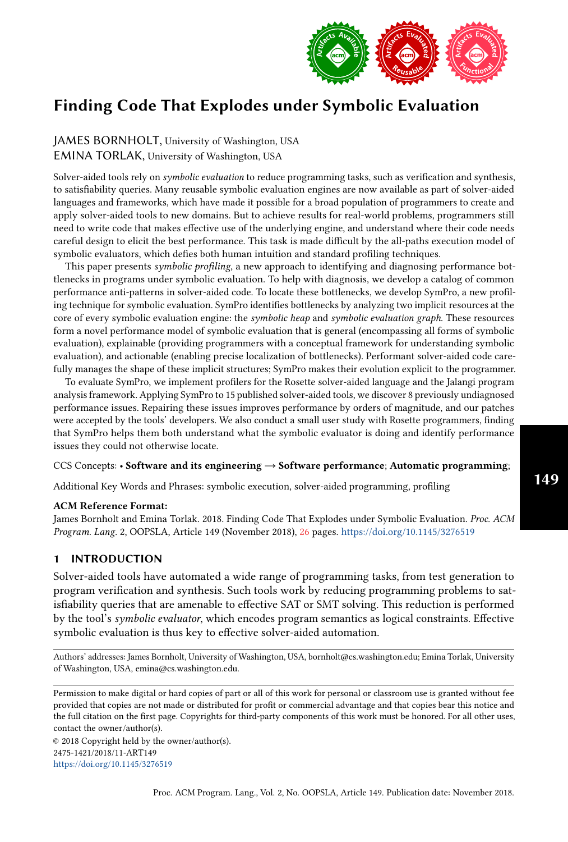

JAMES BORNHOLT, University of Washington, USA EMINA TORLAK, University of Washington, USA

Solver-aided tools rely on symbolic evaluation to reduce programming tasks, such as verification and synthesis, to satisfiability queries. Many reusable symbolic evaluation engines are now available as part of solver-aided languages and frameworks, which have made it possible for a broad population of programmers to create and apply solver-aided tools to new domains. But to achieve results for real-world problems, programmers still need to write code that makes effective use of the underlying engine, and understand where their code needs careful design to elicit the best performance. This task is made difficult by the all-paths execution model of symbolic evaluators, which defies both human intuition and standard profiling techniques.

This paper presents symbolic profiling, a new approach to identifying and diagnosing performance bottlenecks in programs under symbolic evaluation. To help with diagnosis, we develop a catalog of common performance anti-patterns in solver-aided code. To locate these bottlenecks, we develop SymPro, a new profiling technique for symbolic evaluation. SymPro identifies bottlenecks by analyzing two implicit resources at the core of every symbolic evaluation engine: the symbolic heap and symbolic evaluation graph. These resources form a novel performance model of symbolic evaluation that is general (encompassing all forms of symbolic evaluation), explainable (providing programmers with a conceptual framework for understanding symbolic evaluation), and actionable (enabling precise localization of bottlenecks). Performant solver-aided code carefully manages the shape of these implicit structures; SymPro makes their evolution explicit to the programmer.

To evaluate SymPro, we implement profilers for the Rosette solver-aided language and the Jalangi program analysis framework. Applying SymPro to 15 published solver-aided tools, we discover 8 previously undiagnosed performance issues. Repairing these issues improves performance by orders of magnitude, and our patches were accepted by the tools' developers. We also conduct a small user study with Rosette programmers, finding that SymPro helps them both understand what the symbolic evaluator is doing and identify performance issues they could not otherwise locate.

#### CCS Concepts: • Software and its engineering  $\rightarrow$  Software performance; Automatic programming;

Additional Key Words and Phrases: symbolic execution, solver-aided programming, profiling

#### ACM Reference Format:

James Bornholt and Emina Torlak. 2018. Finding Code That Explodes under Symbolic Evaluation. Proc. ACM Program. Lang. 2, OOPSLA, Article 149 (November 2018), [26](#page-25-0) pages. <https://doi.org/10.1145/3276519>

# 1 INTRODUCTION

Solver-aided tools have automated a wide range of programming tasks, from test generation to program verification and synthesis. Such tools work by reducing programming problems to satisfiability queries that are amenable to effective SAT or SMT solving. This reduction is performed by the tool's symbolic evaluator, which encodes program semantics as logical constraints. Effective symbolic evaluation is thus key to effective solver-aided automation.

Authors' addresses: James Bornholt, University of Washington, USA, bornholt@cs.washington.edu; Emina Torlak, University of Washington, USA, emina@cs.washington.edu.

Permission to make digital or hard copies of part or all of this work for personal or classroom use is granted without fee provided that copies are not made or distributed for profit or commercial advantage and that copies bear this notice and the full citation on the first page. Copyrights for third-party components of this work must be honored. For all other uses, contact the owner/author(s).

© 2018 Copyright held by the owner/author(s). 2475-1421/2018/11-ART149 <https://doi.org/10.1145/3276519>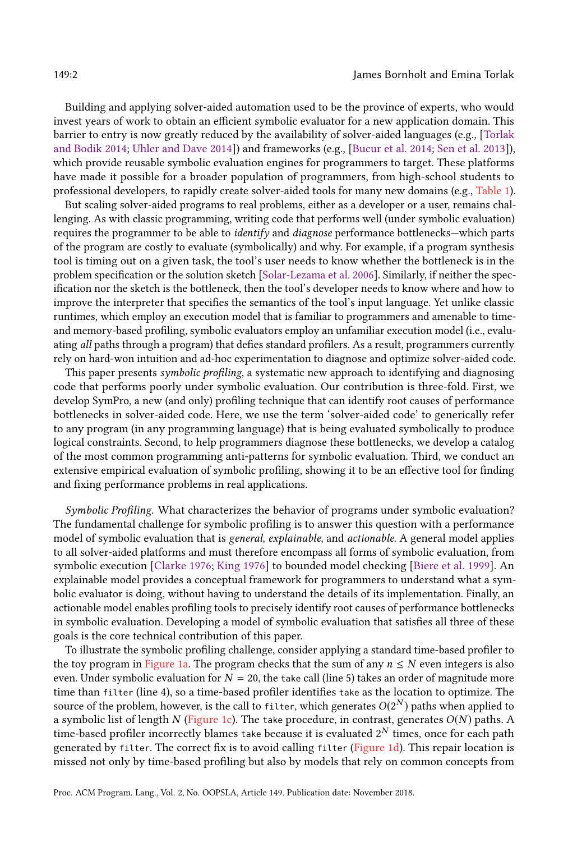Building and applying solver-aided automation used to be the province of experts, who would invest years of work to obtain an efficient symbolic evaluator for a new application domain. This barrier to entry is now greatly reduced by the availability of solver-aided languages (e.g., [\[Torlak](#page-25-1) [and Bodik 2014;](#page-25-1) [Uhler and Dave 2014\]](#page-25-2)) and frameworks (e.g., [\[Bucur et al.](#page-24-0) [2014;](#page-24-0) [Sen et al.](#page-25-3) [2013\]](#page-25-3)), which provide reusable symbolic evaluation engines for programmers to target. These platforms have made it possible for a broader population of programmers, from high-school students to professional developers, to rapidly create solver-aided tools for many new domains (e.g., [Table 1\)](#page-15-0).

But scaling solver-aided programs to real problems, either as a developer or a user, remains challenging. As with classic programming, writing code that performs well (under symbolic evaluation) requires the programmer to be able to *identify* and *diagnose* performance bottlenecks—which parts of the program are costly to evaluate (symbolically) and why. For example, if a program synthesis tool is timing out on a given task, the tool's user needs to know whether the bottleneck is in the problem specification or the solution sketch [\[Solar-Lezama et al.](#page-25-4) [2006\]](#page-25-4). Similarly, if neither the specification nor the sketch is the bottleneck, then the tool's developer needs to know where and how to improve the interpreter that specifies the semantics of the tool's input language. Yet unlike classic runtimes, which employ an execution model that is familiar to programmers and amenable to timeand memory-based profiling, symbolic evaluators employ an unfamiliar execution model (i.e., evaluating all paths through a program) that defies standard profilers. As a result, programmers currently rely on hard-won intuition and ad-hoc experimentation to diagnose and optimize solver-aided code.

This paper presents *symbolic profiling*, a systematic new approach to identifying and diagnosing code that performs poorly under symbolic evaluation. Our contribution is three-fold. First, we develop SymPro, a new (and only) profiling technique that can identify root causes of performance bottlenecks in solver-aided code. Here, we use the term 'solver-aided code' to generically refer to any program (in any programming language) that is being evaluated symbolically to produce logical constraints. Second, to help programmers diagnose these bottlenecks, we develop a catalog of the most common programming anti-patterns for symbolic evaluation. Third, we conduct an extensive empirical evaluation of symbolic profiling, showing it to be an effective tool for finding and fixing performance problems in real applications.

Symbolic Profiling. What characterizes the behavior of programs under symbolic evaluation? The fundamental challenge for symbolic profiling is to answer this question with a performance model of symbolic evaluation that is general, explainable, and actionable. A general model applies to all solver-aided platforms and must therefore encompass all forms of symbolic evaluation, from symbolic execution [\[Clarke 1976;](#page-24-1) [King 1976\]](#page-25-5) to bounded model checking [\[Biere et al.](#page-24-2) [1999\]](#page-24-2). An explainable model provides a conceptual framework for programmers to understand what a symbolic evaluator is doing, without having to understand the details of its implementation. Finally, an actionable model enables profiling tools to precisely identify root causes of performance bottlenecks in symbolic evaluation. Developing a model of symbolic evaluation that satisfies all three of these goals is the core technical contribution of this paper.

To illustrate the symbolic profiling challenge, consider applying a standard time-based profiler to the toy program in [Figure 1a.](#page-2-0) The program checks that the sum of any  $n \leq N$  even integers is also even. Under symbolic evaluation for  $N = 20$ , the take call (line 5) takes an order of magnitude more time than filter (line 4), so a time-based profiler identifies take as the location to optimize. The source of the problem, however, is the call to <code>filter</code>, which generates  $O(2^N)$  paths when applied to a symbolic list of length N [\(Figure 1c\)](#page-2-0). The take procedure, in contrast, generates  $O(N)$  paths. A time-based profiler incorrectly blames take because it is evaluated  $2^N$  times, once for each path generated by filter. The correct fix is to avoid calling filter [\(Figure 1d\)](#page-2-0). This repair location is missed not only by time-based profiling but also by models that rely on common concepts from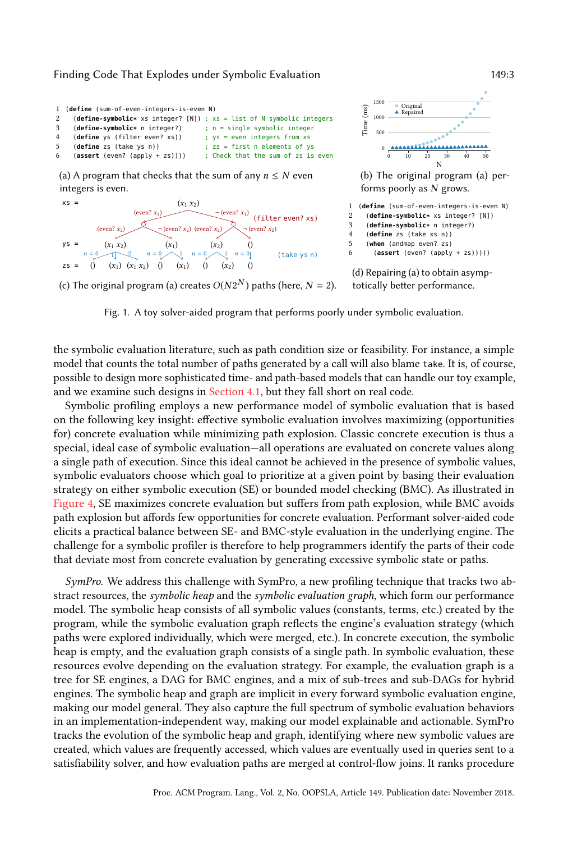```
1 (define (sum-of-even-integers-is-even N)
      2 (define-symbolic* xs integer? [N]) ; xs = list of N symbolic integers
3 (define-symbolic* n integer?) ; n = single symbolic integer<br>4 (define ys (filter even? xs)) ; ys = even integers from xs
4 (define ys (filter even? xs))<br>5 (define zs (take ys n))
      (define zs (take ys n)) ; zs = first n elements of ys<br>(assert (even? (apply + zs)))) ; Check that the sum of zs is even
6 (assert (even? (apply + zs))))
```
(a) A program that checks that the sum of any  $n \leq N$  even integers is even.



(c) The original program (a) creates  $O(N2^N)$  paths (here,  $N=2$ ).



 (**define** (sum-of-even-integers-is-even N) (**define-symbolic\*** xs integer? [N]) (**define-symbolic\*** n integer?) (**define** zs (take xs n)) (**when** (andmap even? zs) (**assert** (even? (apply + zs)))))

(d) Repairing (a) to obtain asymptotically better performance.

Fig. 1. A toy solver-aided program that performs poorly under symbolic evaluation.

the symbolic evaluation literature, such as path condition size or feasibility. For instance, a simple model that counts the total number of paths generated by a call will also blame take. It is, of course, possible to design more sophisticated time- and path-based models that can handle our toy example, and we examine such designs in [Section 4.1,](#page-9-0) but they fall short on real code.

Symbolic profiling employs a new performance model of symbolic evaluation that is based on the following key insight: effective symbolic evaluation involves maximizing (opportunities for) concrete evaluation while minimizing path explosion. Classic concrete execution is thus a special, ideal case of symbolic evaluation–all operations are evaluated on concrete values along a single path of execution. Since this ideal cannot be achieved in the presence of symbolic values, symbolic evaluators choose which goal to prioritize at a given point by basing their evaluation strategy on either symbolic execution (SE) or bounded model checking (BMC). As illustrated in [Figure 4,](#page-7-0) SE maximizes concrete evaluation but suffers from path explosion, while BMC avoids path explosion but affords few opportunities for concrete evaluation. Performant solver-aided code elicits a practical balance between SE- and BMC-style evaluation in the underlying engine. The challenge for a symbolic profiler is therefore to help programmers identify the parts of their code that deviate most from concrete evaluation by generating excessive symbolic state or paths.

SymPro. We address this challenge with SymPro, a new profiling technique that tracks two abstract resources, the *symbolic heap* and the *symbolic evaluation graph*, which form our performance model. The symbolic heap consists of all symbolic values (constants, terms, etc.) created by the program, while the symbolic evaluation graph reflects the engine's evaluation strategy (which paths were explored individually, which were merged, etc.). In concrete execution, the symbolic heap is empty, and the evaluation graph consists of a single path. In symbolic evaluation, these resources evolve depending on the evaluation strategy. For example, the evaluation graph is a tree for SE engines, a DAG for BMC engines, and a mix of sub-trees and sub-DAGs for hybrid engines. The symbolic heap and graph are implicit in every forward symbolic evaluation engine, making our model general. They also capture the full spectrum of symbolic evaluation behaviors in an implementation-independent way, making our model explainable and actionable. SymPro tracks the evolution of the symbolic heap and graph, identifying where new symbolic values are created, which values are frequently accessed, which values are eventually used in queries sent to a satisfiability solver, and how evaluation paths are merged at control-flow joins. It ranks procedure

●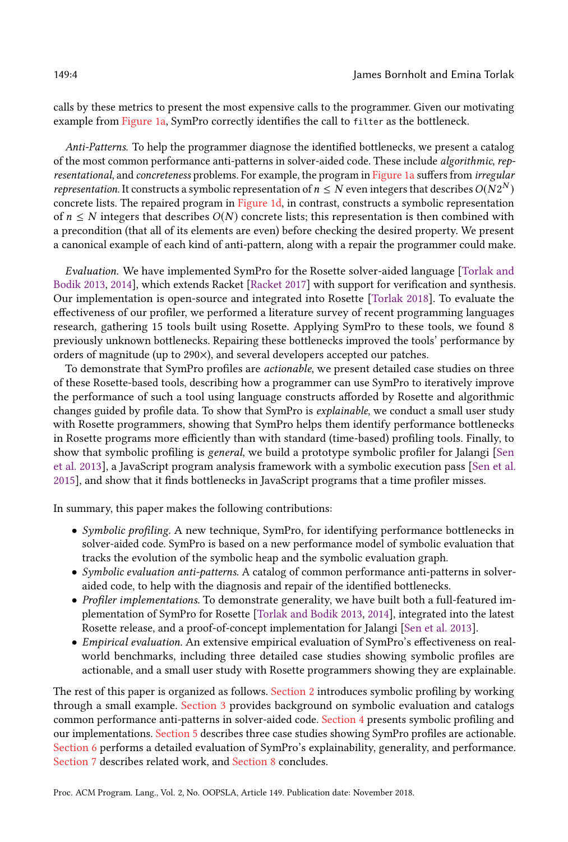calls by these metrics to present the most expensive calls to the programmer. Given our motivating example from [Figure 1a,](#page-2-0) SymPro correctly identifies the call to filter as the bottleneck.

Anti-Patterns. To help the programmer diagnose the identified bottlenecks, we present a catalog of the most common performance anti-patterns in solver-aided code. These include algorithmic, rep-resentational, and concreteness problems. For example, the program in [Figure 1a](#page-2-0) suffers from irregular *representation.* It constructs a symbolic representation of  $n \leq N$  even integers that describes  $O(N2^N)$ concrete lists. The repaired program in [Figure 1d,](#page-2-0) in contrast, constructs a symbolic representation of  $n \leq N$  integers that describes  $O(N)$  concrete lists; this representation is then combined with a precondition (that all of its elements are even) before checking the desired property. We present a canonical example of each kind of anti-pattern, along with a repair the programmer could make.

Evaluation. We have implemented SymPro for the Rosette solver-aided language [\[Torlak and](#page-25-6) [Bodik 2013,](#page-25-6) [2014\]](#page-25-1), which extends Racket [\[Racket 2017\]](#page-25-7) with support for verification and synthesis. Our implementation is open-source and integrated into Rosette [\[Torlak 2018\]](#page-25-8). To evaluate the effectiveness of our profiler, we performed a literature survey of recent programming languages research, gathering 15 tools built using Rosette. Applying SymPro to these tools, we found 8 previously unknown bottlenecks. Repairing these bottlenecks improved the tools' performance by orders of magnitude (up to 290×), and several developers accepted our patches.

To demonstrate that SymPro profiles are actionable, we present detailed case studies on three of these Rosette-based tools, describing how a programmer can use SymPro to iteratively improve the performance of such a tool using language constructs afforded by Rosette and algorithmic changes guided by profile data. To show that SymPro is explainable, we conduct a small user study with Rosette programmers, showing that SymPro helps them identify performance bottlenecks in Rosette programs more efficiently than with standard (time-based) profiling tools. Finally, to show that symbolic profiling is general, we build a prototype symbolic profiler for Jalangi [\[Sen](#page-25-3) [et al.](#page-25-3) [2013\]](#page-25-3), a JavaScript program analysis framework with a symbolic execution pass [\[Sen et al.](#page-25-9) [2015\]](#page-25-9), and show that it finds bottlenecks in JavaScript programs that a time profiler misses.

In summary, this paper makes the following contributions:

- Symbolic profiling. A new technique, SymPro, for identifying performance bottlenecks in solver-aided code. SymPro is based on a new performance model of symbolic evaluation that tracks the evolution of the symbolic heap and the symbolic evaluation graph.
- Symbolic evaluation anti-patterns. A catalog of common performance anti-patterns in solveraided code, to help with the diagnosis and repair of the identified bottlenecks.
- Profiler implementations. To demonstrate generality, we have built both a full-featured implementation of SymPro for Rosette [\[Torlak and Bodik 2013,](#page-25-6) [2014\]](#page-25-1), integrated into the latest Rosette release, and a proof-of-concept implementation for Jalangi [\[Sen et al. 2013\]](#page-25-3).
- Empirical evaluation. An extensive empirical evaluation of SymPro's effectiveness on realworld benchmarks, including three detailed case studies showing symbolic profiles are actionable, and a small user study with Rosette programmers showing they are explainable.

The rest of this paper is organized as follows. [Section 2](#page-4-0) introduces symbolic profiling by working through a small example. [Section 3](#page-6-0) provides background on symbolic evaluation and catalogs common performance anti-patterns in solver-aided code. [Section 4](#page-9-1) presents symbolic profiling and our implementations. [Section 5](#page-14-0) describes three case studies showing SymPro profiles are actionable. [Section 6](#page-19-0) performs a detailed evaluation of SymPro's explainability, generality, and performance. [Section 7](#page-22-0) describes related work, and [Section 8](#page-23-0) concludes.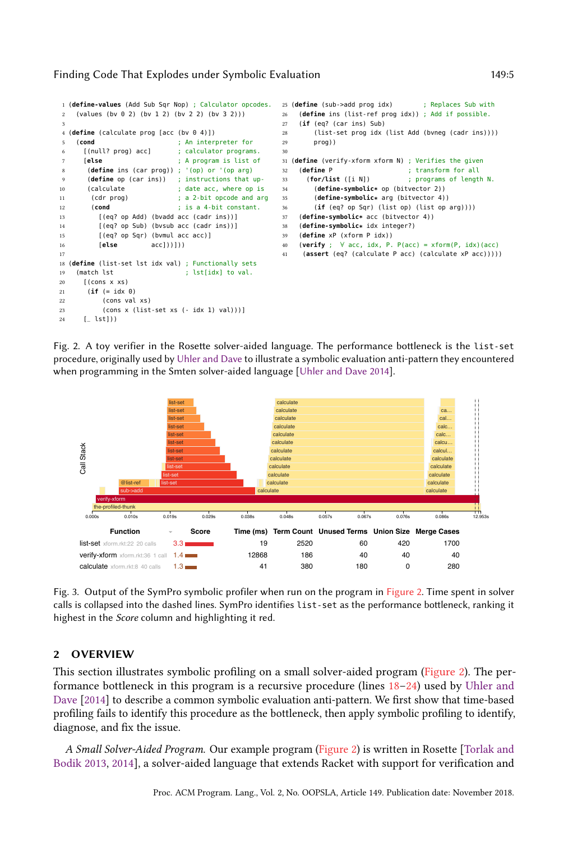```
1 (define-values (Add Sub Sqr Nop) ; Calculator opcodes.
2 (values (bv 0 2) (bv 1 2) (bv 2 2) (bv 3 2)))
 3
4 (define (calculate prog [acc (bv 0 4)])
5 (cond ; An interpreter for
     [(null? prog) acc] ; calculator programs.
     7 [else ; A program is list of
      8 (define ins (car prog)) ; '(op) or '(op arg)
      (define op (car ins)) ; instructions that up-
10 (calculate ; date acc, where op is
11 (cdr prog) ; a 2-bit opcode and arg
12 (cond ; is a 4-bit constant.
13 [(eq? op Add) (bvadd acc (cadr ins))]
14 [(eq? op Sub) (bvsub acc (cadr ins))]
15 [(eq? op Sqr) (bvmul acc acc)]
16 [else acc]))]))
17
18 (define (list-set lst idx val) ; Functionally sets
19 (match lst ; lst[idx] to val.
20 [(cons x xs)
21 (if (= idx 0)
22 (cons val xs)
23 (cons x (list-set xs (- idx 1) val)))]
24 [_ lst]))
                                                   25 (define (sub->add prog idx) ; Replaces Sub with
                                                   26 (define ins (list-ref prog idx)) ; Add if possible.
                                                   27 (if (eq? (car ins) Sub)
                                                   28 (list-set prog idx (list Add (bvneg (cadr ins))))
                                                   29 prog))
                                                   30
                                                   31 (define (verify-xform xform N) ; Verifies the given
                                                   32 (define P ; transform for all
                                                   33 (for/list ([i N]) ; programs of length N.
                                                   34 (define-symbolic* op (bitvector 2))
                                                   35 (define-symbolic* arg (bitvector 4))
                                                           (if (eq? op Sqr) (list op) (list op arg))))
                                                   37 (define-symbolic* acc (bitvector 4))
                                                   38 (define-symbolic* idx integer?)<br>39 (define xP (xform P idx))
                                                        39 (define xP (xform P idx))
                                                   40 (verify ; ∀ acc, idx, P. P(acc) = xform(P, idx)(acc)
                                                   41 (assert (eq? (calculate P acc) (calculate xP acc)))))
```
<span id="page-4-9"></span><span id="page-4-5"></span><span id="page-4-3"></span><span id="page-4-2"></span>Fig. 2. A toy verifier in the Rosette solver-aided language. The performance bottleneck is the list-set procedure, originally used by [Uhler and Dave](#page-25-2) to illustrate a symbolic evaluation anti-pattern they encountered when programming in the Smten solver-aided language [\[Uhler and Dave 2014\]](#page-25-2).

<span id="page-4-12"></span>

Fig. 3. Output of the SymPro symbolic profiler when run on the program in [Figure 2.](#page-4-1) Time spent in solver calls is collapsed into the dashed lines. SymPro identifies list-set as the performance bottleneck, ranking it highest in the Score column and highlighting it red.

# <span id="page-4-0"></span>2 OVERVIEW

This section illustrates symbolic profiling on a small solver-aided program [\(Figure 2\)](#page-4-1). The performance bottleneck in this program is a recursive procedure (lines  $18-24$ ) used by [Uhler and](#page-25-2) [Dave](#page-25-2) [\[2014\]](#page-25-2) to describe a common symbolic evaluation anti-pattern. We first show that time-based profiling fails to identify this procedure as the bottleneck, then apply symbolic profiling to identify, diagnose, and fix the issue.

A Small Solver-Aided Program. Our example program [\(Figure 2\)](#page-4-1) is written in Rosette [\[Torlak and](#page-25-6) [Bodik 2013,](#page-25-6) [2014\]](#page-25-1), a solver-aided language that extends Racket with support for verification and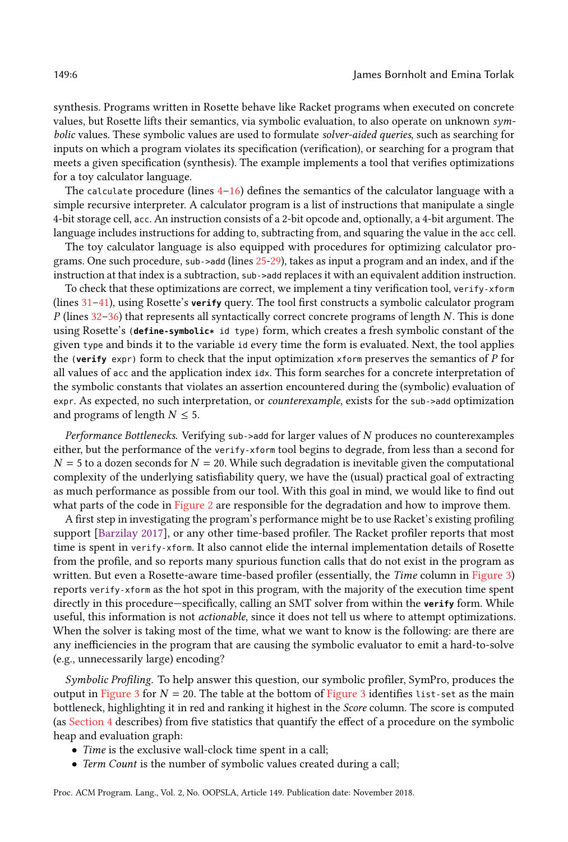synthesis. Programs written in Rosette behave like Racket programs when executed on concrete values, but Rosette lifts their semantics, via symbolic evaluation, to also operate on unknown symbolic values. These symbolic values are used to formulate solver-aided queries, such as searching for inputs on which a program violates its specification (verification), or searching for a program that meets a given specification (synthesis). The example implements a tool that verifies optimizations for a toy calculator language.

The calculate procedure (lines  $4-16$  $4-16$ ) defines the semantics of the calculator language with a simple recursive interpreter. A calculator program is a list of instructions that manipulate a single 4-bit storage cell, acc. An instruction consists of a 2-bit opcode and, optionally, a 4-bit argument. The language includes instructions for adding to, subtracting from, and squaring the value in the acc cell.

The toy calculator language is also equipped with procedures for optimizing calculator programs. One such procedure, sub->add (lines [25](#page-4-6)[-29\)](#page-4-7), takes as input a program and an index, and if the instruction at that index is a subtraction, sub->add replaces it with an equivalent addition instruction.

To check that these optimizations are correct, we implement a tiny verification tool, verify-xform (lines [31](#page-4-8)–41), using Rosette's **verify** query. The tool first constructs a symbolic calculator program P (lines  $32-36$ ) that represents all syntactically correct concrete programs of length N. This is done using Rosette's (**define-symbolic\*** id type) form, which creates a fresh symbolic constant of the given type and binds it to the variable id every time the form is evaluated. Next, the tool applies the (**verify** expr) form to check that the input optimization xform preserves the semantics of P for all values of acc and the application index idx. This form searches for a concrete interpretation of the symbolic constants that violates an assertion encountered during the (symbolic) evaluation of expr. As expected, no such interpretation, or *counterexample*, exists for the sub->add optimization and programs of length  $N \leq 5$ .

Performance Bottlenecks. Verifying sub->add for larger values of N produces no counterexamples either, but the performance of the verify-xform tool begins to degrade, from less than a second for  $N = 5$  to a dozen seconds for  $N = 20$ . While such degradation is inevitable given the computational complexity of the underlying satisfiability query, we have the (usual) practical goal of extracting as much performance as possible from our tool. With this goal in mind, we would like to find out what parts of the code in [Figure 2](#page-4-1) are responsible for the degradation and how to improve them.

A first step in investigating the program's performance might be to use Racket's existing profiling support [\[Barzilay 2017\]](#page-24-3), or any other time-based profiler. The Racket profiler reports that most time is spent in verify-xform. It also cannot elide the internal implementation details of Rosette from the profile, and so reports many spurious function calls that do not exist in the program as written. But even a Rosette-aware time-based profiler (essentially, the *Time* column in [Figure 3\)](#page-4-12) reports verify-xform as the hot spot in this program, with the majority of the execution time spent directly in this procedure—specifically, calling an SMT solver from within the **verify** form. While useful, this information is not actionable, since it does not tell us where to attempt optimizations. When the solver is taking most of the time, what we want to know is the following: are there are any inefficiencies in the program that are causing the symbolic evaluator to emit a hard-to-solve (e.g., unnecessarily large) encoding?

Symbolic Profiling. To help answer this question, our symbolic profiler, SymPro, produces the output in [Figure 3](#page-4-12) for  $N = 20$ . The table at the bottom of Figure 3 identifies list-set as the main bottleneck, highlighting it in red and ranking it highest in the Score column. The score is computed (as [Section 4](#page-9-1) describes) from five statistics that quantify the effect of a procedure on the symbolic heap and evaluation graph:

- Time is the exclusive wall-clock time spent in a call;
- Term Count is the number of symbolic values created during a call;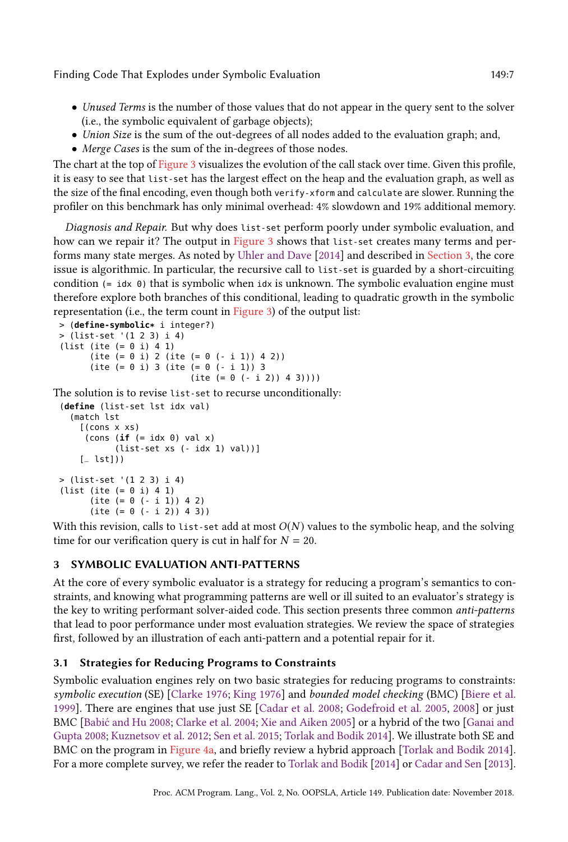- Unused Terms is the number of those values that do not appear in the query sent to the solver (i.e., the symbolic equivalent of garbage objects);
- Union Size is the sum of the out-degrees of all nodes added to the evaluation graph; and,
- Merge Cases is the sum of the in-degrees of those nodes.

The chart at the top of [Figure 3](#page-4-12) visualizes the evolution of the call stack over time. Given this profile, it is easy to see that list-set has the largest effect on the heap and the evaluation graph, as well as the size of the final encoding, even though both verify-xform and calculate are slower. Running the profiler on this benchmark has only minimal overhead: 4% slowdown and 19% additional memory.

Diagnosis and Repair. But why does list-set perform poorly under symbolic evaluation, and how can we repair it? The output in [Figure 3](#page-4-12) shows that list-set creates many terms and performs many state merges. As noted by [Uhler and Dave](#page-25-2) [\[2014\]](#page-25-2) and described in [Section 3,](#page-6-0) the core issue is algorithmic. In particular, the recursive call to list-set is guarded by a short-circuiting condition  $(= \text{idx } 0)$  that is symbolic when idx is unknown. The symbolic evaluation engine must therefore explore both branches of this conditional, leading to quadratic growth in the symbolic representation (i.e., the term count in [Figure 3\)](#page-4-12) of the output list:

```
> (define-symbolic* i integer?)
> (list-set '(1 2 3) i 4)
(list (ite (= 0 i) 4 1)
      (ite (= 0 i) 2 (ite (= 0 (- i 1)) 4 2))
      (ite (= 0 i) 3 (ite (= 0 (- i 1)) 3(ite (= 0 (- i 2)) 4 3))))
```
The solution is to revise list-set to recurse unconditionally:

```
(define (list-set lst idx val)
  (match lst
    [(cons x xs)
     (cons (if (= idx 0) val x)
           (list-set xs (- idx 1) val))]
    [- \text{lst}])> (list-set '(1 2 3) i 4)
(list (ite (= 0 i) 4 1)
      (ite (= 0 (- i 1)) 4 2)(ite (= 0 (- i 2)) 4 3))
```
With this revision, calls to list-set add at most  $O(N)$  values to the symbolic heap, and the solving time for our verification query is cut in half for  $N = 20$ .

# <span id="page-6-0"></span>3 SYMBOLIC EVALUATION ANTI-PATTERNS

At the core of every symbolic evaluator is a strategy for reducing a program's semantics to constraints, and knowing what programming patterns are well or ill suited to an evaluator's strategy is the key to writing performant solver-aided code. This section presents three common anti-patterns that lead to poor performance under most evaluation strategies. We review the space of strategies first, followed by an illustration of each anti-pattern and a potential repair for it.

# <span id="page-6-1"></span>3.1 Strategies for Reducing Programs to Constraints

Symbolic evaluation engines rely on two basic strategies for reducing programs to constraints: symbolic execution (SE) [\[Clarke 1976;](#page-24-1) [King 1976\]](#page-25-5) and bounded model checking (BMC) [\[Biere et al.](#page-24-2) [1999\]](#page-24-2). There are engines that use just SE [\[Cadar et al.](#page-24-4) [2008;](#page-24-4) [Godefroid et al.](#page-24-5) [2005,](#page-24-5) [2008\]](#page-24-6) or just BMC [\[Babić and Hu 2008;](#page-24-7) [Clarke et al.](#page-24-8) [2004;](#page-24-8) [Xie and Aiken 2005\]](#page-25-10) or a hybrid of the two [\[Ganai and](#page-24-9) [Gupta 2008;](#page-24-9) [Kuznetsov et al.](#page-25-11) [2012;](#page-25-11) [Sen et al.](#page-25-9) [2015;](#page-25-9) [Torlak and Bodik 2014\]](#page-25-1). We illustrate both SE and BMC on the program in [Figure 4a,](#page-7-0) and briefly review a hybrid approach [\[Torlak and Bodik 2014\]](#page-25-1). For a more complete survey, we refer the reader to [Torlak and Bodik](#page-25-1) [\[2014\]](#page-25-1) or [Cadar and Sen](#page-24-10) [\[2013\]](#page-24-10).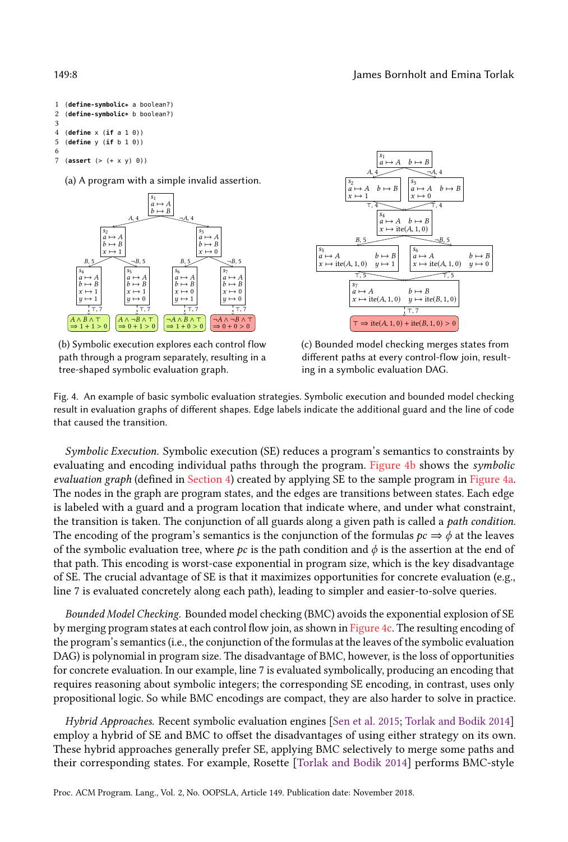```
1 (define-symbolic* a boolean?)
  2 (define-symbolic* b boolean?)
3
4 (define x (if a 1 0))
5 (define y (if b 1 0))
6
7 (assert (> (+ x y) 0))
```
<span id="page-7-2"></span>(a) A program with a simple invalid assertion.



(b) Symbolic execution explores each control flow path through a program separately, resulting in a tree-shaped symbolic evaluation graph.



(c) Bounded model checking merges states from different paths at every control-flow join, resulting in a symbolic evaluation DAG.

Fig. 4. An example of basic symbolic evaluation strategies. Symbolic execution and bounded model checking result in evaluation graphs of different shapes. Edge labels indicate the additional guard and the line of code that caused the transition.

Symbolic Execution. Symbolic execution (SE) reduces a program's semantics to constraints by evaluating and encoding individual paths through the program. [Figure 4b](#page-7-0) shows the symbolic evaluation graph (defined in [Section 4\)](#page-9-1) created by applying SE to the sample program in [Figure 4a.](#page-7-0) The nodes in the graph are program states, and the edges are transitions between states. Each edge is labeled with a guard and a program location that indicate where, and under what constraint, the transition is taken. The conjunction of all guards along a given path is called a path condition. The encoding of the program's semantics is the conjunction of the formulas  $pc \Rightarrow \phi$  at the leaves of the symbolic evaluation tree, where  $pc$  is the path condition and  $\phi$  is the assertion at the end of that path. This encoding is worst-case exponential in program size, which is the key disadvantage of SE. The crucial advantage of SE is that it maximizes opportunities for concrete evaluation (e.g., line 7 is evaluated concretely along each path), leading to simpler and easier-to-solve queries.

Bounded Model Checking. Bounded model checking (BMC) avoids the exponential explosion of SE by merging program states at each control flow join, as shown in [Figure 4c.](#page-7-0) The resulting encoding of the program's semantics (i.e., the conjunction of the formulas at the leaves of the symbolic evaluation DAG) is polynomial in program size. The disadvantage of BMC, however, is the loss of opportunities for concrete evaluation. In our example, line 7 is evaluated symbolically, producing an encoding that requires reasoning about symbolic integers; the corresponding SE encoding, in contrast, uses only propositional logic. So while BMC encodings are compact, they are also harder to solve in practice.

Hybrid Approaches. Recent symbolic evaluation engines [\[Sen et al.](#page-25-9) [2015;](#page-25-9) [Torlak and Bodik 2014\]](#page-25-1) employ a hybrid of SE and BMC to offset the disadvantages of using either strategy on its own. These hybrid approaches generally prefer SE, applying BMC selectively to merge some paths and their corresponding states. For example, Rosette [\[Torlak and Bodik 2014\]](#page-25-1) performs BMC-style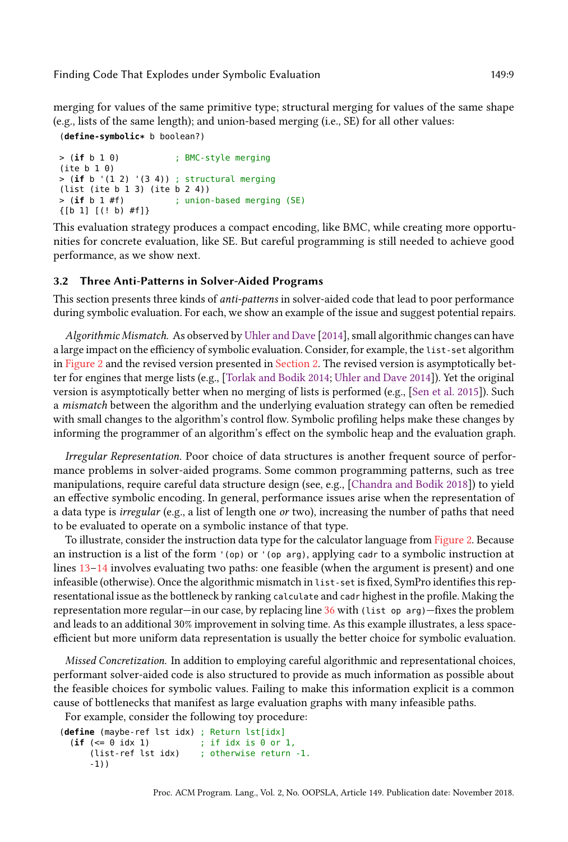merging for values of the same primitive type; structural merging for values of the same shape (e.g., lists of the same length); and union-based merging (i.e., SE) for all other values:

```
(define-symbolic* b boolean?)
```

```
> (if b 1 0) ; BMC-style merging
(ite b 1 0)
> (if b '(1 2) '(3 4)) ; structural merging
(list (ite b 1 3) (ite b 2 4))
> (if b 1 #f) ; union-based merging (SE)
{[b 1] [(! b) #f]}
```
This evaluation strategy produces a compact encoding, like BMC, while creating more opportunities for concrete evaluation, like SE. But careful programming is still needed to achieve good performance, as we show next.

### <span id="page-8-0"></span>3.2 Three Anti-Patterns in Solver-Aided Programs

This section presents three kinds of anti-patterns in solver-aided code that lead to poor performance during symbolic evaluation. For each, we show an example of the issue and suggest potential repairs.

Algorithmic Mismatch. As observed by [Uhler and Dave](#page-25-2) [\[2014\]](#page-25-2), small algorithmic changes can have a large impact on the efficiency of symbolic evaluation. Consider, for example, the list-set algorithm in [Figure 2](#page-4-1) and the revised version presented in [Section 2.](#page-4-0) The revised version is asymptotically better for engines that merge lists (e.g., [\[Torlak and Bodik 2014;](#page-25-1) [Uhler and Dave 2014\]](#page-25-2)). Yet the original version is asymptotically better when no merging of lists is performed (e.g., [\[Sen et al.](#page-25-9) [2015\]](#page-25-9)). Such a mismatch between the algorithm and the underlying evaluation strategy can often be remedied with small changes to the algorithm's control flow. Symbolic profiling helps make these changes by informing the programmer of an algorithm's effect on the symbolic heap and the evaluation graph.

Irregular Representation. Poor choice of data structures is another frequent source of performance problems in solver-aided programs. Some common programming patterns, such as tree manipulations, require careful data structure design (see, e.g., [\[Chandra and Bodik 2018\]](#page-24-11)) to yield an effective symbolic encoding. In general, performance issues arise when the representation of a data type is irregular (e.g., a list of length one or two), increasing the number of paths that need to be evaluated to operate on a symbolic instance of that type.

To illustrate, consider the instruction data type for the calculator language from [Figure 2.](#page-4-1) Because an instruction is a list of the form '(op) or '(op arg), applying cadr to a symbolic instruction at lines  $13-14$  $13-14$  involves evaluating two paths: one feasible (when the argument is present) and one infeasible (otherwise). Once the algorithmic mismatch in list-set is fixed, SymPro identifies this representational issue as the bottleneck by ranking calculate and cadr highest in the profile. Making the representation more regular–in our case, by replacing line [36](#page-4-11) with (list op arg)–fixes the problem and leads to an additional 30% improvement in solving time. As this example illustrates, a less spaceefficient but more uniform data representation is usually the better choice for symbolic evaluation.

Missed Concretization. In addition to employing careful algorithmic and representational choices, performant solver-aided code is also structured to provide as much information as possible about the feasible choices for symbolic values. Failing to make this information explicit is a common cause of bottlenecks that manifest as large evaluation graphs with many infeasible paths.

For example, consider the following toy procedure:

```
(define (maybe-ref lst idx) ; Return lst[idx]
  (i f \left( \leftarrow 0 \text{ idx } 1) ; if i dx is 0 or 1,<br>(list-ref lst i dx) ; otherwise return
                                       ; otherwise return -1.
         -1))
```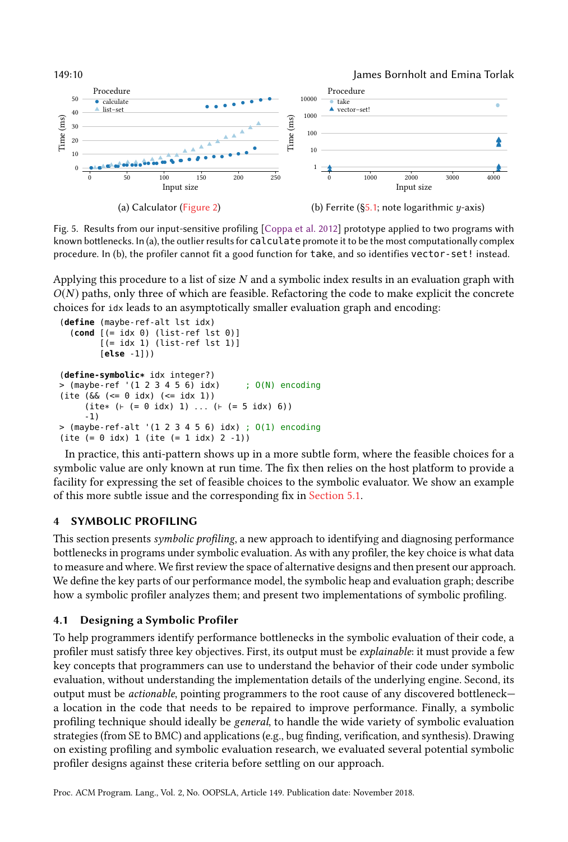<span id="page-9-2"></span>

(a) Calculator [\(Figure 2\)](#page-4-1)

(b) Ferrite ( $\S$ 5.1; note logarithmic  $y$ -axis)

Fig. 5. Results from our input-sensitive profiling [\[Coppa et al.](#page-24-12) [2012\]](#page-24-12) prototype applied to two programs with known bottlenecks. In (a), the outlier results for calculate promote it to be the most computationally complex procedure. In (b), the profiler cannot fit a good function for take, and so identifies vector-set! instead.

Applying this procedure to a list of size  $N$  and a symbolic index results in an evaluation graph with  $O(N)$  paths, only three of which are feasible. Refactoring the code to make explicit the concrete choices for idx leads to an asymptotically smaller evaluation graph and encoding:

```
(define (maybe-ref-alt lst idx)
  (cond [(= idx 0) (list-ref lst 0)]
        [ (= idx 1) (list-ref 1st 1)][else -1]))
(define-symbolic* idx integer?)
> (maybe-ref '(1 2 3 4 5 6) idx) ; 0(N) encoding
(ite (66 \ (- = 0 \text{idx}) \ (- = \text{idx} \ 1))(ite* (⊢ (= 0 idx) 1) ... (⊢ (= 5 idx) 6))
     -1)
> (maybe-ref-alt '(1 2 3 4 5 6) idx) ; 0(1) encoding
(ite (= 0 idx) 1 (ite (= 1 idx) 2 -1))
```
In practice, this anti-pattern shows up in a more subtle form, where the feasible choices for a symbolic value are only known at run time. The fix then relies on the host platform to provide a facility for expressing the set of feasible choices to the symbolic evaluator. We show an example of this more subtle issue and the corresponding fix in [Section 5.1.](#page-14-1)

# <span id="page-9-1"></span>4 SYMBOLIC PROFILING

This section presents symbolic profiling, a new approach to identifying and diagnosing performance bottlenecks in programs under symbolic evaluation. As with any profiler, the key choice is what data to measure and where. We first review the space of alternative designs and then present our approach. We define the key parts of our performance model, the symbolic heap and evaluation graph; describe how a symbolic profiler analyzes them; and present two implementations of symbolic profiling.

# <span id="page-9-0"></span>4.1 Designing a Symbolic Profiler

To help programmers identify performance bottlenecks in the symbolic evaluation of their code, a profiler must satisfy three key objectives. First, its output must be explainable: it must provide a few key concepts that programmers can use to understand the behavior of their code under symbolic evaluation, without understanding the implementation details of the underlying engine. Second, its output must be *actionable*, pointing programmers to the root cause of any discovered bottleneck a location in the code that needs to be repaired to improve performance. Finally, a symbolic profiling technique should ideally be general, to handle the wide variety of symbolic evaluation strategies (from SE to BMC) and applications (e.g., bug finding, verification, and synthesis). Drawing on existing profiling and symbolic evaluation research, we evaluated several potential symbolic profiler designs against these criteria before settling on our approach.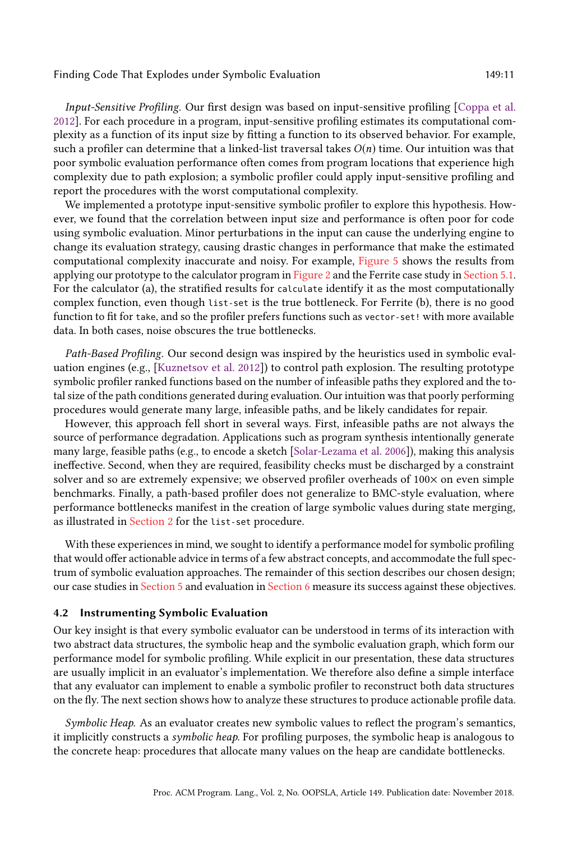Input-Sensitive Profiling. Our first design was based on input-sensitive profiling [\[Coppa et al.](#page-24-12) [2012\]](#page-24-12). For each procedure in a program, input-sensitive profiling estimates its computational complexity as a function of its input size by fitting a function to its observed behavior. For example, such a profiler can determine that a linked-list traversal takes  $O(n)$  time. Our intuition was that poor symbolic evaluation performance often comes from program locations that experience high complexity due to path explosion; a symbolic profiler could apply input-sensitive profiling and report the procedures with the worst computational complexity.

We implemented a prototype input-sensitive symbolic profiler to explore this hypothesis. However, we found that the correlation between input size and performance is often poor for code using symbolic evaluation. Minor perturbations in the input can cause the underlying engine to change its evaluation strategy, causing drastic changes in performance that make the estimated computational complexity inaccurate and noisy. For example, [Figure 5](#page-9-2) shows the results from applying our prototype to the calculator program in [Figure 2](#page-4-1) and the Ferrite case study in [Section 5.1.](#page-14-1) For the calculator (a), the stratified results for calculate identify it as the most computationally complex function, even though list-set is the true bottleneck. For Ferrite (b), there is no good function to fit for take, and so the profiler prefers functions such as vector-set! with more available data. In both cases, noise obscures the true bottlenecks.

Path-Based Profiling. Our second design was inspired by the heuristics used in symbolic evaluation engines (e.g., [\[Kuznetsov et al.](#page-25-11) [2012\]](#page-25-11)) to control path explosion. The resulting prototype symbolic profiler ranked functions based on the number of infeasible paths they explored and the total size of the path conditions generated during evaluation. Our intuition was that poorly performing procedures would generate many large, infeasible paths, and be likely candidates for repair.

However, this approach fell short in several ways. First, infeasible paths are not always the source of performance degradation. Applications such as program synthesis intentionally generate many large, feasible paths (e.g., to encode a sketch [\[Solar-Lezama et al.](#page-25-4) [2006\]](#page-25-4)), making this analysis ineffective. Second, when they are required, feasibility checks must be discharged by a constraint solver and so are extremely expensive; we observed profiler overheads of  $100\times$  on even simple benchmarks. Finally, a path-based profiler does not generalize to BMC-style evaluation, where performance bottlenecks manifest in the creation of large symbolic values during state merging, as illustrated in [Section 2](#page-4-0) for the list-set procedure.

With these experiences in mind, we sought to identify a performance model for symbolic profiling that would offer actionable advice in terms of a few abstract concepts, and accommodate the full spectrum of symbolic evaluation approaches. The remainder of this section describes our chosen design; our case studies in [Section 5](#page-14-0) and evaluation in [Section 6](#page-19-0) measure its success against these objectives.

#### 4.2 Instrumenting Symbolic Evaluation

Our key insight is that every symbolic evaluator can be understood in terms of its interaction with two abstract data structures, the symbolic heap and the symbolic evaluation graph, which form our performance model for symbolic profiling. While explicit in our presentation, these data structures are usually implicit in an evaluator's implementation. We therefore also define a simple interface that any evaluator can implement to enable a symbolic profiler to reconstruct both data structures on the fly. The next section shows how to analyze these structures to produce actionable profile data.

Symbolic Heap. As an evaluator creates new symbolic values to reflect the program's semantics, it implicitly constructs a symbolic heap. For profiling purposes, the symbolic heap is analogous to the concrete heap: procedures that allocate many values on the heap are candidate bottlenecks.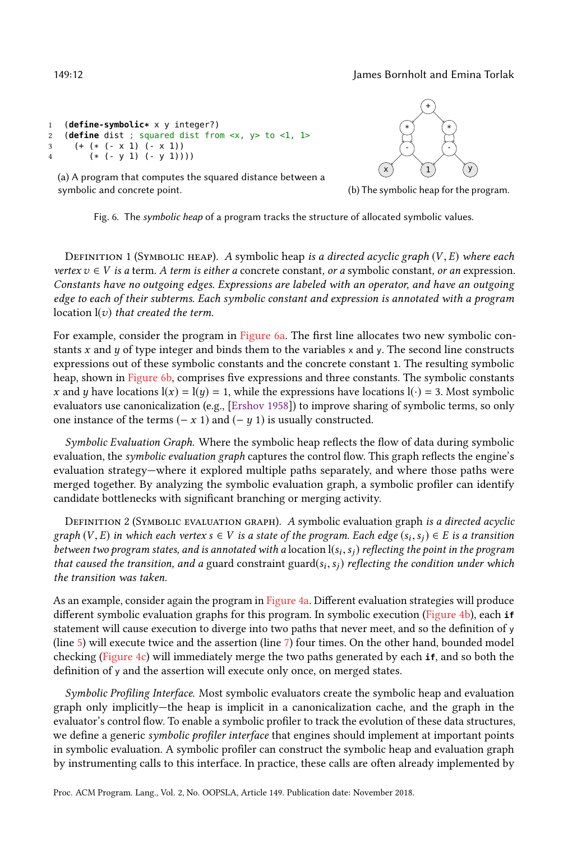<span id="page-11-0"></span>149:12 James Bornholt and Emina Torlak

```
1 (define-symbolic* x y integer?)
2 (define dist ; squared dist from <x, y> to <1, 1>
3 (+ (* (- x 1) (- x 1))
4 (* (- y 1) (- y 1))))
```


(a) A program that computes the squared distance between a (b) The symbolic heap for the program.

symbolic and concrete point.

Fig. 6. The symbolic heap of a program tracks the structure of allocated symbolic values.

<span id="page-11-1"></span>DEFINITION 1 (SYMBOLIC HEAP). A symbolic heap is a directed acyclic graph  $(V, E)$  where each vertex  $v \in V$  is a term. A term is either a concrete constant, or a symbolic constant, or an expression. Constants have no outgoing edges. Expressions are labeled with an operator, and have an outgoing edge to each of their subterms. Each symbolic constant and expression is annotated with a program location  $l(v)$  that created the term.

For example, consider the program in [Figure 6a.](#page-11-0) The first line allocates two new symbolic constants x and y of type integer and binds them to the variables  $x$  and y. The second line constructs expressions out of these symbolic constants and the concrete constant 1. The resulting symbolic heap, shown in [Figure 6b,](#page-11-0) comprises five expressions and three constants. The symbolic constants x and y have locations  $l(x) = l(y) = 1$ , while the expressions have locations  $l(\cdot) = 3$ . Most symbolic evaluators use canonicalization (e.g., [\[Ershov 1958\]](#page-24-13)) to improve sharing of symbolic terms, so only one instance of the terms  $(-x 1)$  and  $(-y 1)$  is usually constructed.

Symbolic Evaluation Graph. Where the symbolic heap reflects the flow of data during symbolic evaluation, the *symbolic evaluation graph* captures the control flow. This graph reflects the engine's evaluation strategy—where it explored multiple paths separately, and where those paths were merged together. By analyzing the symbolic evaluation graph, a symbolic profiler can identify candidate bottlenecks with significant branching or merging activity.

<span id="page-11-2"></span>DEFINITION 2 (SYMBOLIC EVALUATION GRAPH). A symbolic evaluation graph is a directed acyclic graph  $(V, E)$  in which each vertex  $s \in V$  is a state of the program. Each edge  $(s_i, s_j) \in E$  is a transition between two program states, and is annotated with a location  $\mathbf{l}(s_i,s_j)$  reflecting the point in the program that caused the transition, and a guard constraint guard(s $_{i},$  s $_{j})$  reflecting the condition under which the transition was taken.

As an example, consider again the program in [Figure 4a.](#page-7-0) Different evaluation strategies will produce different symbolic evaluation graphs for this program. In symbolic execution [\(Figure 4b\)](#page-7-0), each **if** statement will cause execution to diverge into two paths that never meet, and so the definition of y (line [5\)](#page-7-1) will execute twice and the assertion (line [7\)](#page-7-2) four times. On the other hand, bounded model checking [\(Figure 4c\)](#page-7-0) will immediately merge the two paths generated by each **if**, and so both the definition of y and the assertion will execute only once, on merged states.

Symbolic Profiling Interface. Most symbolic evaluators create the symbolic heap and evaluation graph only implicitly–the heap is implicit in a canonicalization cache, and the graph in the evaluator's control flow. To enable a symbolic profiler to track the evolution of these data structures, we define a generic symbolic profiler interface that engines should implement at important points in symbolic evaluation. A symbolic profiler can construct the symbolic heap and evaluation graph by instrumenting calls to this interface. In practice, these calls are often already implemented by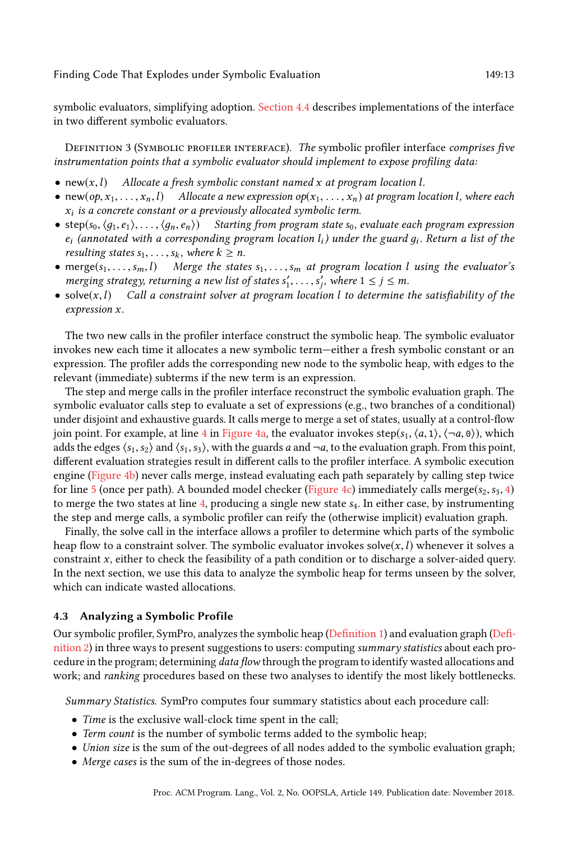symbolic evaluators, simplifying adoption. [Section 4.4](#page-13-0) describes implementations of the interface in two different symbolic evaluators.

<span id="page-12-0"></span>Definition 3 (Symbolic profiler interface). The symbolic profiler interface comprises five instrumentation points that a symbolic evaluator should implement to expose profiling data:

- new $(x, l)$  Allocate a fresh symbolic constant named x at program location l.
- new(op,  $x_1, \ldots, x_n, l$ ) Allocate a new expression op( $x_1, \ldots, x_n$ ) at program location l, where each  $x_i$  is a concrete constant or a previously allocated symbolic term.
- step( $s_0, \langle q_1, e_1 \rangle, \ldots, \langle q_n, e_n \rangle$ ) Starting from program state  $s_0$ , evaluate each program expression  $e_i$  (annotated with a corresponding program location  $l_i$ ) under the guard  $g_i$ . Return a list of the resulting states  $s_1, \ldots, s_k$ , where  $k \geq n$ .
- merge( $s_1, \ldots, s_m, l$ ) Merge the states  $s_1, \ldots, s_m$  at program location l using the evaluator's merging strategy, returning a new list of states  $s'_1, \ldots, s'_j$ , where  $1 \le j \le m$ .
- solve $(x, l)$  Call a constraint solver at program location l to determine the satisfiability of the expression x.

The two new calls in the profiler interface construct the symbolic heap. The symbolic evaluator invokes new each time it allocates a new symbolic term–either a fresh symbolic constant or an expression. The profiler adds the corresponding new node to the symbolic heap, with edges to the relevant (immediate) subterms if the new term is an expression.

The step and merge calls in the profiler interface reconstruct the symbolic evaluation graph. The symbolic evaluator calls step to evaluate a set of expressions (e.g., two branches of a conditional) under disjoint and exhaustive guards. It calls merge to merge a set of states, usually at a control-flow join point. For example, at line [4](#page-7-3) in [Figure 4a,](#page-7-0) the evaluator invokes step( $s_1, \langle a, 1 \rangle, \langle \neg a, \emptyset \rangle$ ), which adds the edges  $\langle s_1, s_2 \rangle$  and  $\langle s_1, s_3 \rangle$ , with the guards a and  $\neg a$ , to the evaluation graph. From this point, different evaluation strategies result in different calls to the profiler interface. A symbolic execution engine [\(Figure 4b\)](#page-7-0) never calls merge, instead evaluating each path separately by calling step twice for line [5](#page-7-1) (once per path). A bounded model checker [\(Figure 4c\)](#page-7-0) immediately calls merge( $s_2, s_3, 4$  $s_2, s_3, 4$ ) to merge the two states at line  $4$ , producing a single new state  $s<sub>4</sub>$ . In either case, by instrumenting the step and merge calls, a symbolic profiler can reify the (otherwise implicit) evaluation graph.

Finally, the solve call in the interface allows a profiler to determine which parts of the symbolic heap flow to a constraint solver. The symbolic evaluator invokes solve $(x, l)$  whenever it solves a constraint  $x$ , either to check the feasibility of a path condition or to discharge a solver-aided query. In the next section, we use this data to analyze the symbolic heap for terms unseen by the solver, which can indicate wasted allocations.

#### 4.3 Analyzing a Symbolic Profile

Our symbolic profiler, SymPro, analyzes the symbolic heap [\(Definition 1\)](#page-11-1) and evaluation graph [\(Defi](#page-11-2)[nition 2\)](#page-11-2) in three ways to present suggestions to users: computing summary statistics about each procedure in the program; determining *data flow* through the program to identify wasted allocations and work; and ranking procedures based on these two analyses to identify the most likely bottlenecks.

Summary Statistics. SymPro computes four summary statistics about each procedure call:

- Time is the exclusive wall-clock time spent in the call;
- Term count is the number of symbolic terms added to the symbolic heap;
- Union size is the sum of the out-degrees of all nodes added to the symbolic evaluation graph;
- Merge cases is the sum of the in-degrees of those nodes.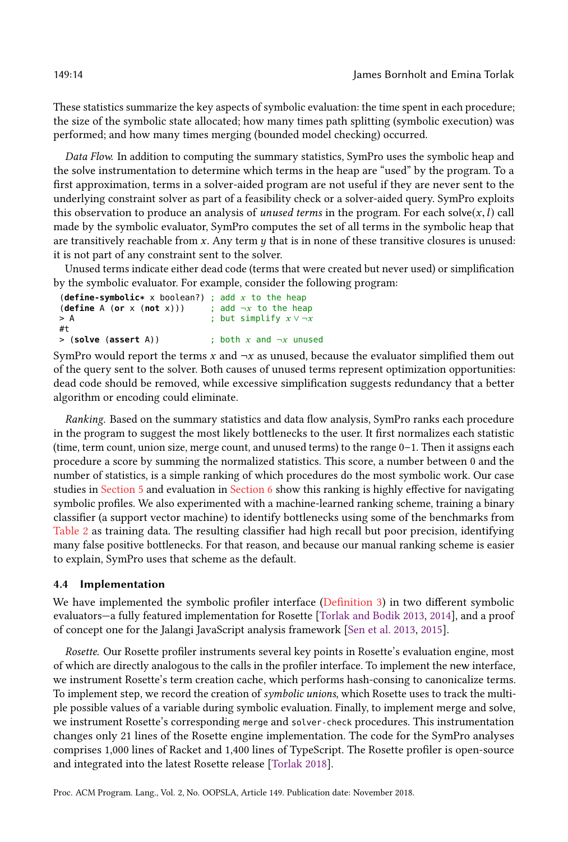These statistics summarize the key aspects of symbolic evaluation: the time spent in each procedure; the size of the symbolic state allocated; how many times path splitting (symbolic execution) was performed; and how many times merging (bounded model checking) occurred.

Data Flow. In addition to computing the summary statistics, SymPro uses the symbolic heap and the solve instrumentation to determine which terms in the heap are "used" by the program. To a first approximation, terms in a solver-aided program are not useful if they are never sent to the underlying constraint solver as part of a feasibility check or a solver-aided query. SymPro exploits this observation to produce an analysis of *unused terms* in the program. For each solve $(x, l)$  call made by the symbolic evaluator, SymPro computes the set of all terms in the symbolic heap that are transitively reachable from  $x$ . Any term  $y$  that is in none of these transitive closures is unused: it is not part of any constraint sent to the solver.

Unused terms indicate either dead code (terms that were created but never used) or simplification by the symbolic evaluator. For example, consider the following program:

```
(define-symbolic* x boolean?) ; add x to the heap (define A (or x (not x))) ; add \neg x to the heap
(\text{define } A \text{ (or } x \text{ (not } x)))> A ; but simplify x \vee \neg x#t
> (solve (assert A)) ; both x and ¬x unused
```
SymPro would report the terms  $x$  and  $\neg x$  as unused, because the evaluator simplified them out of the query sent to the solver. Both causes of unused terms represent optimization opportunities: dead code should be removed, while excessive simplification suggests redundancy that a better algorithm or encoding could eliminate.

Ranking. Based on the summary statistics and data flow analysis, SymPro ranks each procedure in the program to suggest the most likely bottlenecks to the user. It first normalizes each statistic (time, term count, union size, merge count, and unused terms) to the range  $0-1$ . Then it assigns each procedure a score by summing the normalized statistics. This score, a number between 0 and the number of statistics, is a simple ranking of which procedures do the most symbolic work. Our case studies in [Section 5](#page-14-0) and evaluation in [Section 6](#page-19-0) show this ranking is highly effective for navigating symbolic profiles. We also experimented with a machine-learned ranking scheme, training a binary classifier (a support vector machine) to identify bottlenecks using some of the benchmarks from [Table 2](#page-16-0) as training data. The resulting classifier had high recall but poor precision, identifying many false positive bottlenecks. For that reason, and because our manual ranking scheme is easier to explain, SymPro uses that scheme as the default.

#### <span id="page-13-0"></span>4.4 Implementation

We have implemented the symbolic profiler interface [\(Definition 3\)](#page-12-0) in two different symbolic evaluators-a fully featured implementation for Rosette [\[Torlak and Bodik 2013,](#page-25-6) [2014\]](#page-25-1), and a proof of concept one for the Jalangi JavaScript analysis framework [\[Sen et al. 2013,](#page-25-3) [2015\]](#page-25-9).

Rosette. Our Rosette profiler instruments several key points in Rosette's evaluation engine, most of which are directly analogous to the calls in the profiler interface. To implement the new interface, we instrument Rosette's term creation cache, which performs hash-consing to canonicalize terms. To implement step, we record the creation of symbolic unions, which Rosette uses to track the multiple possible values of a variable during symbolic evaluation. Finally, to implement merge and solve, we instrument Rosette's corresponding merge and solver-check procedures. This instrumentation changes only 21 lines of the Rosette engine implementation. The code for the SymPro analyses comprises 1,000 lines of Racket and 1,400 lines of TypeScript. The Rosette profiler is open-source and integrated into the latest Rosette release [\[Torlak 2018\]](#page-25-8).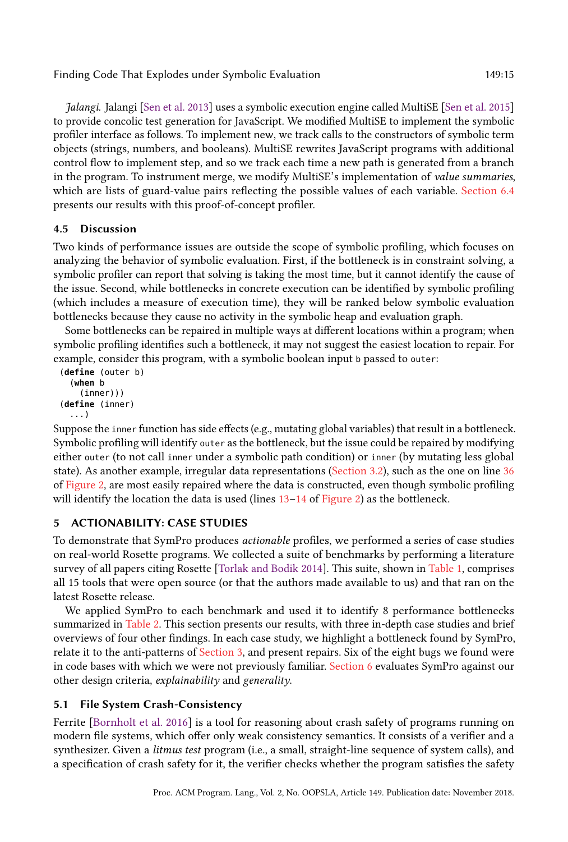Jalangi. Jalangi [\[Sen et al.](#page-25-3) [2013\]](#page-25-3) uses a symbolic execution engine called MultiSE [\[Sen et al.](#page-25-9) [2015\]](#page-25-9) to provide concolic test generation for JavaScript. We modified MultiSE to implement the symbolic profiler interface as follows. To implement new, we track calls to the constructors of symbolic term objects (strings, numbers, and booleans). MultiSE rewrites JavaScript programs with additional control flow to implement step, and so we track each time a new path is generated from a branch in the program. To instrument merge, we modify MultiSE's implementation of value summaries, which are lists of guard-value pairs reflecting the possible values of each variable. [Section 6.4](#page-21-0) presents our results with this proof-of-concept profiler.

# 4.5 Discussion

Two kinds of performance issues are outside the scope of symbolic profiling, which focuses on analyzing the behavior of symbolic evaluation. First, if the bottleneck is in constraint solving, a symbolic profiler can report that solving is taking the most time, but it cannot identify the cause of the issue. Second, while bottlenecks in concrete execution can be identified by symbolic profiling (which includes a measure of execution time), they will be ranked below symbolic evaluation bottlenecks because they cause no activity in the symbolic heap and evaluation graph.

Some bottlenecks can be repaired in multiple ways at different locations within a program; when symbolic profiling identifies such a bottleneck, it may not suggest the easiest location to repair. For example, consider this program, with a symbolic boolean input b passed to outer:

```
(define (outer b)
  (when b
    (inner)))
(define (inner)
  ...)
```
Suppose the inner function has side effects (e.g., mutating global variables) that result in a bottleneck. Symbolic profiling will identify outer as the bottleneck, but the issue could be repaired by modifying either outer (to not call inner under a symbolic path condition) or inner (by mutating less global state). As another example, irregular data representations [\(Section 3.2\)](#page-8-0), such as the one on line [36](#page-4-11) of [Figure 2,](#page-4-1) are most easily repaired where the data is constructed, even though symbolic profiling will identify the location the data is used (lines  $13-14$  $13-14$  of [Figure 2\)](#page-4-1) as the bottleneck.

# <span id="page-14-0"></span>5 ACTIONABILITY: CASE STUDIES

To demonstrate that SymPro produces actionable profiles, we performed a series of case studies on real-world Rosette programs. We collected a suite of benchmarks by performing a literature survey of all papers citing Rosette [\[Torlak and Bodik 2014\]](#page-25-1). This suite, shown in [Table 1,](#page-15-0) comprises all 15 tools that were open source (or that the authors made available to us) and that ran on the latest Rosette release.

We applied SymPro to each benchmark and used it to identify 8 performance bottlenecks summarized in [Table 2.](#page-16-0) This section presents our results, with three in-depth case studies and brief overviews of four other findings. In each case study, we highlight a bottleneck found by SymPro, relate it to the anti-patterns of [Section 3,](#page-6-0) and present repairs. Six of the eight bugs we found were in code bases with which we were not previously familiar. [Section 6](#page-19-0) evaluates SymPro against our other design criteria, explainability and generality.

# <span id="page-14-1"></span>5.1 File System Crash-Consistency

Ferrite [\[Bornholt et al.](#page-24-14) [2016\]](#page-24-14) is a tool for reasoning about crash safety of programs running on modern file systems, which offer only weak consistency semantics. It consists of a verifier and a synthesizer. Given a litmus test program (i.e., a small, straight-line sequence of system calls), and a specification of crash safety for it, the verifier checks whether the program satisfies the safety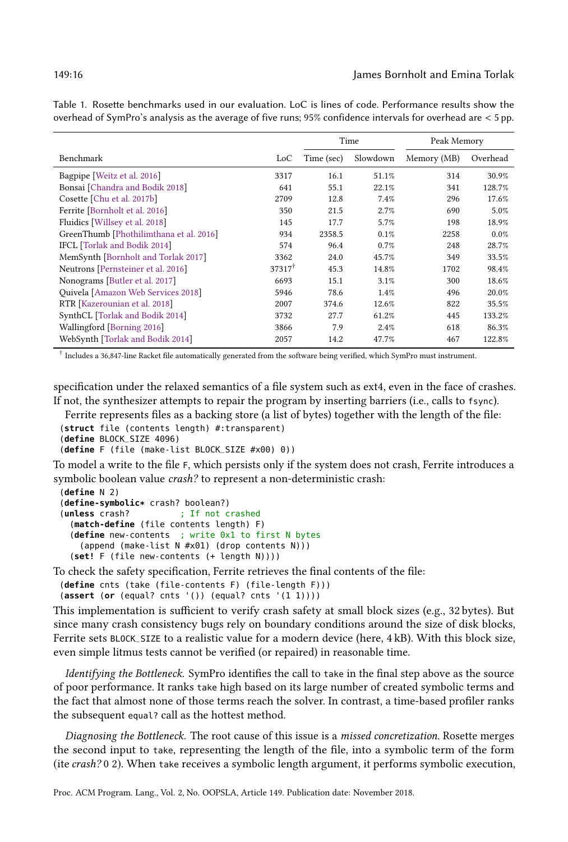|                                           |                   |            | Time     | Peak Memory |          |  |
|-------------------------------------------|-------------------|------------|----------|-------------|----------|--|
| Benchmark                                 | LoC               | Time (sec) | Slowdown | Memory (MB) | Overhead |  |
| Bagpipe [Weitz et al. 2016]               | 3317              | 16.1       | 51.1%    | 314         | 30.9%    |  |
| Bonsai [Chandra and Bodik 2018]           | 641               | 55.1       | 22.1%    | 341         | 128.7%   |  |
| Cosette [Chu et al. 2017b]                | 2709              | 12.8       | 7.4%     | 296         | 17.6%    |  |
| Ferrite [Bornholt et al. 2016]            | 350               | 21.5       | 2.7%     | 690         | 5.0%     |  |
| Fluidics [Willsey et al. 2018]            | 145               | 17.7       | 5.7%     | 198         | 18.9%    |  |
| GreenThumb [Phothilimthana et al. 2016]   | 934               | 2358.5     | 0.1%     | 2258        | 0.0%     |  |
| IFCL Torlak and Bodik 2014]               | 574               | 96.4       | 0.7%     | 248         | 28.7%    |  |
| MemSynth [Bornholt and Torlak 2017]       | 3362              | 24.0       | 45.7%    | 349         | 33.5%    |  |
| Neutrons [Pernsteiner et al. 2016]        | $37317^{\dagger}$ | 45.3       | 14.8%    | 1702        | 98.4%    |  |
| Nonograms [Butler et al. 2017]            | 6693              | 15.1       | 3.1%     | 300         | 18.6%    |  |
| <b>Ouivela [Amazon Web Services 2018]</b> | 5946              | 78.6       | 1.4%     | 496         | 20.0%    |  |
| RTR [Kazerounian et al. 2018]             | 2007              | 374.6      | 12.6%    | 822         | 35.5%    |  |
| SynthCL [Torlak and Bodik 2014]           | 3732              | 27.7       | 61.2%    | 445         | 133.2%   |  |
| Wallingford [Borning 2016]                | 3866              | 7.9        | 2.4%     | 618         | 86.3%    |  |
| WebSynth [Torlak and Bodik 2014]          | 2057              | 14.2       | 47.7%    | 467         | 122.8%   |  |

<span id="page-15-0"></span>Table 1. Rosette benchmarks used in our evaluation. LoC is lines of code. Performance results show the overhead of SymPro's analysis as the average of five runs; 95% confidence intervals for overhead are < 5 pp.

 $^\dagger$  Includes a 36,847-line Racket file automatically generated from the software being verified, which SymPro must instrument.

specification under the relaxed semantics of a file system such as ext4, even in the face of crashes. If not, the synthesizer attempts to repair the program by inserting barriers (i.e., calls to fsync).

Ferrite represents files as a backing store (a list of bytes) together with the length of the file:

```
(struct file (contents length) #:transparent)
```
(**define** BLOCK\_SIZE 4096) (**define** F (file (make-list BLOCK\_SIZE #x00) 0))

To model a write to the file F, which persists only if the system does not crash, Ferrite introduces a symbolic boolean value crash? to represent a non-deterministic crash:

```
(define N 2)
(define-symbolic* crash? boolean?)
                         (unless crash? ; If not crashed
  (match-define (file contents length) F)
  (define new-contents ; write 0x1 to first N bytes
    (append (make-list N #x01) (drop contents N)))
  (set! F (file new-contents (+ length N))))
```
To check the safety specification, Ferrite retrieves the final contents of the file:

```
(define cnts (take (file-contents F) (file-length F)))
(assert (or (equal? cnts '()) (equal? cnts '(1 1))))
```
This implementation is sufficient to verify crash safety at small block sizes (e.g., 32 bytes). But since many crash consistency bugs rely on boundary conditions around the size of disk blocks, Ferrite sets BLOCK\_SIZE to a realistic value for a modern device (here, 4 kB). With this block size, even simple litmus tests cannot be verified (or repaired) in reasonable time.

Identifying the Bottleneck. SymPro identifies the call to take in the final step above as the source of poor performance. It ranks take high based on its large number of created symbolic terms and the fact that almost none of those terms reach the solver. In contrast, a time-based profiler ranks the subsequent equal? call as the hottest method.

Diagnosing the Bottleneck. The root cause of this issue is a missed concretization. Rosette merges the second input to take, representing the length of the file, into a symbolic term of the form (ite crash? 0 2). When take receives a symbolic length argument, it performs symbolic execution,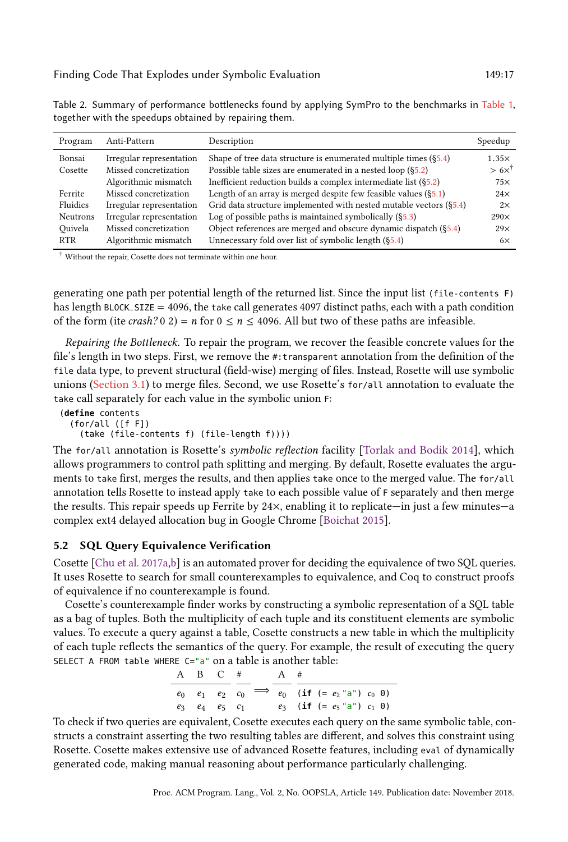<span id="page-16-0"></span>

|                                                        |  |  |  | Table 2. Summary of performance bottlenecks found by applying SymPro to the benchmarks in Table 1, |  |  |
|--------------------------------------------------------|--|--|--|----------------------------------------------------------------------------------------------------|--|--|
| together with the speedups obtained by repairing them. |  |  |  |                                                                                                    |  |  |

| Program         | Anti-Pattern             | Description                                                         | Speedup      |
|-----------------|--------------------------|---------------------------------------------------------------------|--------------|
| Bonsai          | Irregular representation | Shape of tree data structure is enumerated multiple times $(\S5.4)$ | $1.35\times$ |
| Cosette         | Missed concretization    | Possible table sizes are enumerated in a nested loop $(\S5.2)$      | $>6\times$   |
|                 | Algorithmic mismatch     | Inefficient reduction builds a complex intermediate list $(\S5.2)$  | $75\times$   |
| Ferrite         | Missed concretization    | Length of an array is merged despite few feasible values $(\S5.1)$  | $24\times$   |
| Fluidics        | Irregular representation | Grid data structure implemented with nested mutable vectors (§5.4)  | $2\times$    |
| <b>Neutrons</b> | Irregular representation | Log of possible paths is maintained symbolically $(\S5.3)$          | $290\times$  |
| Ouivela         | Missed concretization    | Object references are merged and obscure dynamic dispatch (§5.4)    | $29\times$   |
| <b>RTR</b>      | Algorithmic mismatch     | Unnecessary fold over list of symbolic length $(\S5.4)$             | $6\times$    |

 $^\dagger$  Without the repair, Cosette does not terminate within one hour.

generating one path per potential length of the returned list. Since the input list (file-contents F) has length BLOCK\_SIZE = 4096, the take call generates 4097 distinct paths, each with a path condition of the form (ite crash? 0 2) = n for  $0 \le n \le 4096$ . All but two of these paths are infeasible.

Repairing the Bottleneck. To repair the program, we recover the feasible concrete values for the file's length in two steps. First, we remove the #:transparent annotation from the definition of the file data type, to prevent structural (field-wise) merging of files. Instead, Rosette will use symbolic unions [\(Section 3.1\)](#page-6-1) to merge files. Second, we use Rosette's for/all annotation to evaluate the take call separately for each value in the symbolic union F:

(**define** contents (for/all ([f F]) (take (file-contents f) (file-length f))))

The for/all annotation is Rosette's symbolic reflection facility [\[Torlak and Bodik 2014\]](#page-25-1), which allows programmers to control path splitting and merging. By default, Rosette evaluates the arguments to take first, merges the results, and then applies take once to the merged value. The for/all annotation tells Rosette to instead apply take to each possible value of F separately and then merge the results. This repair speeds up Ferrite by  $24\times$ , enabling it to replicate—in just a few minutes—a complex ext4 delayed allocation bug in Google Chrome [\[Boichat 2015\]](#page-24-20).

### <span id="page-16-1"></span>5.2 SQL Query Equivalence Verification

Cosette [\[Chu et al.](#page-24-21) [2017a](#page-24-21)[,b\]](#page-24-15) is an automated prover for deciding the equivalence of two SQL queries. It uses Rosette to search for small counterexamples to equivalence, and Coq to construct proofs of equivalence if no counterexample is found.

Cosette's counterexample finder works by constructing a symbolic representation of a SQL table as a bag of tuples. Both the multiplicity of each tuple and its constituent elements are symbolic values. To execute a query against a table, Cosette constructs a new table in which the multiplicity of each tuple reflects the semantics of the query. For example, the result of executing the query SELECT A FROM table WHERE C="a" on a table is another table:

|  | $A$ B C #               | $A +$ |                                                                     |
|--|-------------------------|-------|---------------------------------------------------------------------|
|  |                         |       | $e_0$ $e_1$ $e_2$ $c_0$ $\implies$ $e_0$ (if (= $e_2$ "a") $c_0$ 0) |
|  | $e_3$ $e_4$ $e_5$ $c_1$ |       | $e_3$ (if (= $e_5$ "a") $c_1$ 0)                                    |

To check if two queries are equivalent, Cosette executes each query on the same symbolic table, constructs a constraint asserting the two resulting tables are different, and solves this constraint using Rosette. Cosette makes extensive use of advanced Rosette features, including eval of dynamically generated code, making manual reasoning about performance particularly challenging.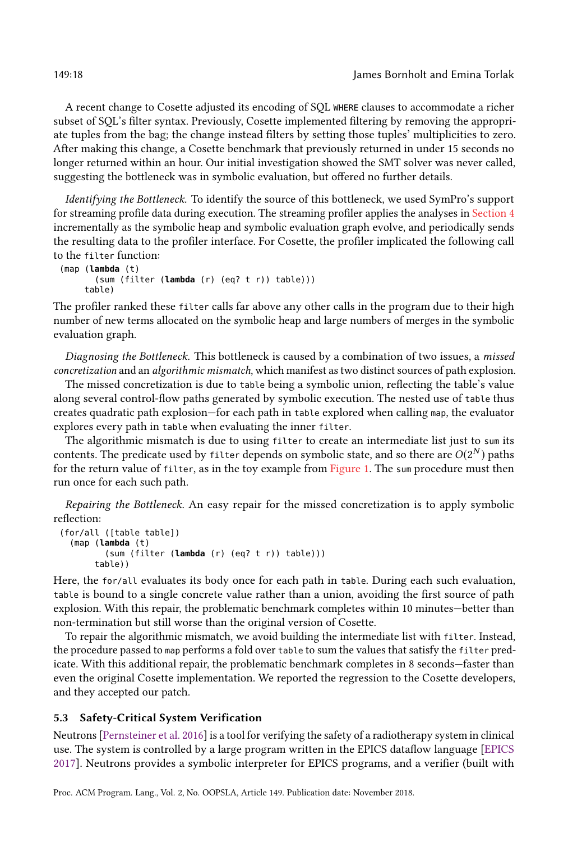A recent change to Cosette adjusted its encoding of SQL WHERE clauses to accommodate a richer subset of SQL's filter syntax. Previously, Cosette implemented filtering by removing the appropriate tuples from the bag; the change instead filters by setting those tuples' multiplicities to zero. After making this change, a Cosette benchmark that previously returned in under 15 seconds no longer returned within an hour. Our initial investigation showed the SMT solver was never called, suggesting the bottleneck was in symbolic evaluation, but offered no further details.

Identifying the Bottleneck. To identify the source of this bottleneck, we used SymPro's support for streaming profile data during execution. The streaming profiler applies the analyses in [Section 4](#page-9-1) incrementally as the symbolic heap and symbolic evaluation graph evolve, and periodically sends the resulting data to the profiler interface. For Cosette, the profiler implicated the following call to the filter function:

```
(map (lambda (t)
      (sum (filter (lambda (r) (eq? t r)) table)))
     table)
```
The profiler ranked these filter calls far above any other calls in the program due to their high number of new terms allocated on the symbolic heap and large numbers of merges in the symbolic evaluation graph.

Diagnosing the Bottleneck. This bottleneck is caused by a combination of two issues, a missed concretization and an algorithmic mismatch, which manifest as two distinct sources of path explosion.

The missed concretization is due to table being a symbolic union, reflecting the table's value along several control-flow paths generated by symbolic execution. The nested use of table thus creates quadratic path explosion–for each path in table explored when calling map, the evaluator explores every path in table when evaluating the inner filter.

The algorithmic mismatch is due to using filter to create an intermediate list just to sum its contents. The predicate used by <code>filter</code> depends on symbolic state, and so there are  $O(2^N)$  paths for the return value of filter, as in the toy example from [Figure 1.](#page-2-0) The sum procedure must then run once for each such path.

Repairing the Bottleneck. An easy repair for the missed concretization is to apply symbolic reflection:

```
(for/all ([table table])
 (map (lambda (t)
         (sum (filter (lambda (r) (eq? t r)) table)))
      table))
```
Here, the for/all evaluates its body once for each path in table. During each such evaluation, table is bound to a single concrete value rather than a union, avoiding the first source of path explosion. With this repair, the problematic benchmark completes within 10 minutes-better than non-termination but still worse than the original version of Cosette.

To repair the algorithmic mismatch, we avoid building the intermediate list with filter. Instead, the procedure passed to map performs a fold over table to sum the values that satisfy the filter predicate. With this additional repair, the problematic benchmark completes in 8 seconds–faster than even the original Cosette implementation. We reported the regression to the Cosette developers, and they accepted our patch.

# <span id="page-17-0"></span>5.3 Safety-Critical System Verification

Neutrons [\[Pernsteiner et al.](#page-25-15) [2016\]](#page-25-15) is a tool for verifying the safety of a radiotherapy system in clinical use. The system is controlled by a large program written in the EPICS dataflow language [\[EPICS](#page-24-22) [2017\]](#page-24-22). Neutrons provides a symbolic interpreter for EPICS programs, and a verifier (built with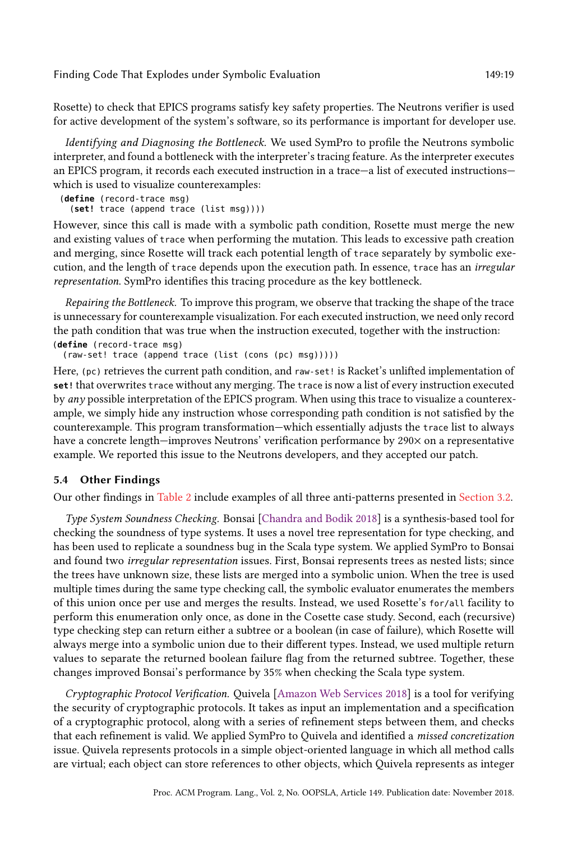Rosette) to check that EPICS programs satisfy key safety properties. The Neutrons verifier is used for active development of the system's software, so its performance is important for developer use.

Identifying and Diagnosing the Bottleneck. We used SymPro to profile the Neutrons symbolic interpreter, and found a bottleneck with the interpreter's tracing feature. As the interpreter executes an EPICS program, it records each executed instruction in a trace-a list of executed instructionswhich is used to visualize counterexamples:

```
(define (record-trace msg)
```
(**set!** trace (append trace (list msg))))

However, since this call is made with a symbolic path condition, Rosette must merge the new and existing values of trace when performing the mutation. This leads to excessive path creation and merging, since Rosette will track each potential length of trace separately by symbolic execution, and the length of trace depends upon the execution path. In essence, trace has an irregular representation. SymPro identifies this tracing procedure as the key bottleneck.

Repairing the Bottleneck. To improve this program, we observe that tracking the shape of the trace is unnecessary for counterexample visualization. For each executed instruction, we need only record the path condition that was true when the instruction executed, together with the instruction: (**define** (record-trace msg)

(raw-set! trace (append trace (list (cons (pc) msg)))))

Here, (pc) retrieves the current path condition, and raw-set! is Racket's unlifted implementation of **set!** that overwrites trace without any merging. The trace is now a list of every instruction executed by any possible interpretation of the EPICS program. When using this trace to visualize a counterexample, we simply hide any instruction whose corresponding path condition is not satisfied by the counterexample. This program transformation–which essentially adjusts the trace list to always have a concrete length–improves Neutrons' verification performance by 290× on a representative example. We reported this issue to the Neutrons developers, and they accepted our patch.

# <span id="page-18-0"></span>5.4 Other Findings

Our other findings in [Table 2](#page-16-0) include examples of all three anti-patterns presented in [Section 3.2.](#page-8-0)

Type System Soundness Checking. Bonsai [\[Chandra and Bodik 2018\]](#page-24-11) is a synthesis-based tool for checking the soundness of type systems. It uses a novel tree representation for type checking, and has been used to replicate a soundness bug in the Scala type system. We applied SymPro to Bonsai and found two irregular representation issues. First, Bonsai represents trees as nested lists; since the trees have unknown size, these lists are merged into a symbolic union. When the tree is used multiple times during the same type checking call, the symbolic evaluator enumerates the members of this union once per use and merges the results. Instead, we used Rosette's for/all facility to perform this enumeration only once, as done in the Cosette case study. Second, each (recursive) type checking step can return either a subtree or a boolean (in case of failure), which Rosette will always merge into a symbolic union due to their different types. Instead, we used multiple return values to separate the returned boolean failure flag from the returned subtree. Together, these changes improved Bonsai's performance by 35% when checking the Scala type system.

Cryptographic Protocol Verification. Quivela [\[Amazon Web Services 2018\]](#page-23-1) is a tool for verifying the security of cryptographic protocols. It takes as input an implementation and a specification of a cryptographic protocol, along with a series of refinement steps between them, and checks that each refinement is valid. We applied SymPro to Quivela and identified a missed concretization issue. Quivela represents protocols in a simple object-oriented language in which all method calls are virtual; each object can store references to other objects, which Quivela represents as integer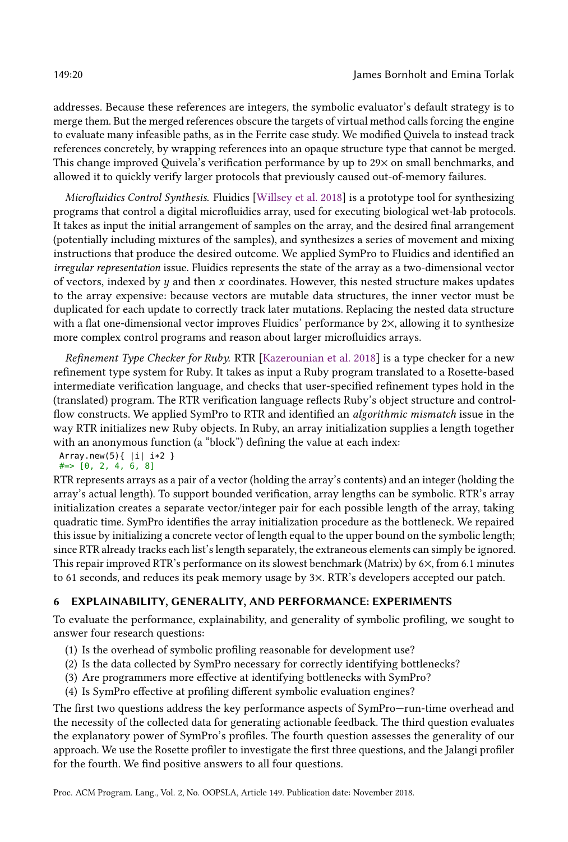addresses. Because these references are integers, the symbolic evaluator's default strategy is to merge them. But the merged references obscure the targets of virtual method calls forcing the engine to evaluate many infeasible paths, as in the Ferrite case study. We modified Quivela to instead track references concretely, by wrapping references into an opaque structure type that cannot be merged. This change improved Quivela's verification performance by up to 29× on small benchmarks, and allowed it to quickly verify larger protocols that previously caused out-of-memory failures.

Microfluidics Control Synthesis. Fluidics [\[Willsey et al.](#page-25-13) [2018\]](#page-25-13) is a prototype tool for synthesizing programs that control a digital microfluidics array, used for executing biological wet-lab protocols. It takes as input the initial arrangement of samples on the array, and the desired final arrangement (potentially including mixtures of the samples), and synthesizes a series of movement and mixing instructions that produce the desired outcome. We applied SymPro to Fluidics and identified an irregular representation issue. Fluidics represents the state of the array as a two-dimensional vector of vectors, indexed by  $y$  and then  $x$  coordinates. However, this nested structure makes updates to the array expensive: because vectors are mutable data structures, the inner vector must be duplicated for each update to correctly track later mutations. Replacing the nested data structure with a flat one-dimensional vector improves Fluidics' performance by 2×, allowing it to synthesize more complex control programs and reason about larger microfluidics arrays.

Refinement Type Checker for Ruby. RTR [\[Kazerounian et al.](#page-24-18) [2018\]](#page-24-18) is a type checker for a new refinement type system for Ruby. It takes as input a Ruby program translated to a Rosette-based intermediate verification language, and checks that user-specified refinement types hold in the (translated) program. The RTR verification language reflects Ruby's object structure and controlflow constructs. We applied SymPro to RTR and identified an *algorithmic mismatch* issue in the way RTR initializes new Ruby objects. In Ruby, an array initialization supplies a length together with an anonymous function (a "block") defining the value at each index:

Array.new(5){ |i| i\*2 } #=> [0, 2, 4, 6, 8]

RTR represents arrays as a pair of a vector (holding the array's contents) and an integer (holding the array's actual length). To support bounded verification, array lengths can be symbolic. RTR's array initialization creates a separate vector/integer pair for each possible length of the array, taking quadratic time. SymPro identifies the array initialization procedure as the bottleneck. We repaired this issue by initializing a concrete vector of length equal to the upper bound on the symbolic length; since RTR already tracks each list's length separately, the extraneous elements can simply be ignored. This repair improved RTR's performance on its slowest benchmark (Matrix) by 6×, from 6.1 minutes to 61 seconds, and reduces its peak memory usage by 3×. RTR's developers accepted our patch.

# <span id="page-19-0"></span>6 EXPLAINABILITY, GENERALITY, AND PERFORMANCE: EXPERIMENTS

To evaluate the performance, explainability, and generality of symbolic profiling, we sought to answer four research questions:

- (1) Is the overhead of symbolic profiling reasonable for development use?
- (2) Is the data collected by SymPro necessary for correctly identifying bottlenecks?
- (3) Are programmers more effective at identifying bottlenecks with SymPro?
- (4) Is SymPro effective at profiling different symbolic evaluation engines?

The first two questions address the key performance aspects of SymPro-run-time overhead and the necessity of the collected data for generating actionable feedback. The third question evaluates the explanatory power of SymPro's profiles. The fourth question assesses the generality of our approach. We use the Rosette profiler to investigate the first three questions, and the Jalangi profiler for the fourth. We find positive answers to all four questions.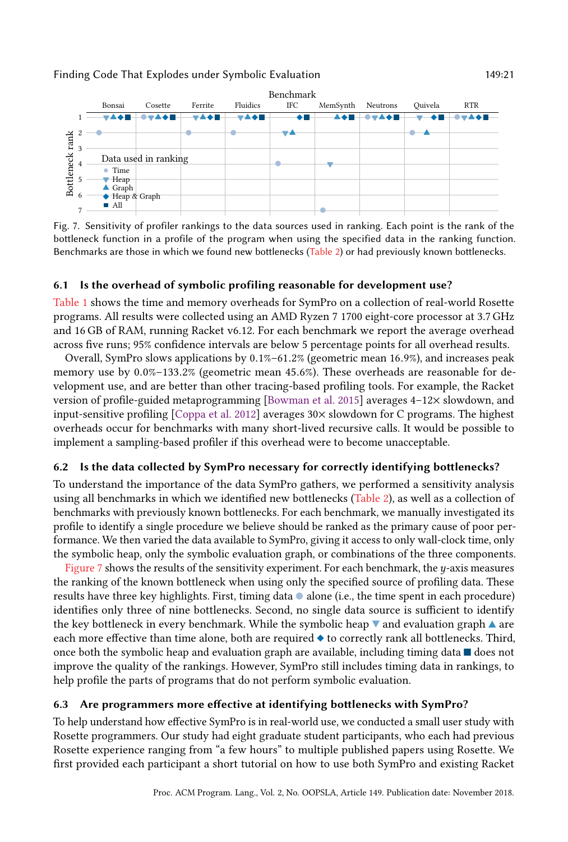<span id="page-20-0"></span>

Fig. 7. Sensitivity of profiler rankings to the data sources used in ranking. Each point is the rank of the bottleneck function in a profile of the program when using the specified data in the ranking function. Benchmarks are those in which we found new bottlenecks [\(Table 2\)](#page-16-0) or had previously known bottlenecks.

# 6.1 Is the overhead of symbolic profiling reasonable for development use?

[Table 1](#page-15-0) shows the time and memory overheads for SymPro on a collection of real-world Rosette programs. All results were collected using an AMD Ryzen 7 1700 eight-core processor at 3.7 GHz and 16 GB of RAM, running Racket v6.12. For each benchmark we report the average overhead across five runs; 95% confidence intervals are below 5 percentage points for all overhead results.

Overall, SymPro slows applications by  $0.1\% - 61.2\%$  (geometric mean 16.9%), and increases peak memory use by  $0.0\%$ –133.2% (geometric mean 45.6%). These overheads are reasonable for development use, and are better than other tracing-based profiling tools. For example, the Racket version of profile-guided metaprogramming [\[Bowman et al.](#page-24-23) [2015\]](#page-24-23) averages  $4-12\times$  slowdown, and input-sensitive profiling [\[Coppa et al.](#page-24-12) [2012\]](#page-24-12) averages 30× slowdown for C programs. The highest overheads occur for benchmarks with many short-lived recursive calls. It would be possible to implement a sampling-based profiler if this overhead were to become unacceptable.

# 6.2 Is the data collected by SymPro necessary for correctly identifying bottlenecks?

To understand the importance of the data SymPro gathers, we performed a sensitivity analysis using all benchmarks in which we identified new bottlenecks [\(Table 2\)](#page-16-0), as well as a collection of benchmarks with previously known bottlenecks. For each benchmark, we manually investigated its profile to identify a single procedure we believe should be ranked as the primary cause of poor performance. We then varied the data available to SymPro, giving it access to only wall-clock time, only the symbolic heap, only the symbolic evaluation graph, or combinations of the three components.

[Figure 7](#page-20-0) shows the results of the sensitivity experiment. For each benchmark, the  $y$ -axis measures the ranking of the known bottleneck when using only the specified source of profiling data. These results have three key highlights. First, timing data  $\circ$  alone (i.e., the time spent in each procedure) identifies only three of nine bottlenecks. Second, no single data source is sufficient to identify the key bottleneck in every benchmark. While the symbolic heap  $\nabla$  and evaluation graph  $\blacktriangle$  are each more effective than time alone, both are required  $\blacklozenge$  to correctly rank all bottlenecks. Third, once both the symbolic heap and evaluation graph are available, including timing data  $\blacksquare$  does not improve the quality of the rankings. However, SymPro still includes timing data in rankings, to help profile the parts of programs that do not perform symbolic evaluation.

# 6.3 Are programmers more effective at identifying bottlenecks with SymPro?

To help understand how effective SymPro is in real-world use, we conducted a small user study with Rosette programmers. Our study had eight graduate student participants, who each had previous Rosette experience ranging from "a few hours" to multiple published papers using Rosette. We first provided each participant a short tutorial on how to use both SymPro and existing Racket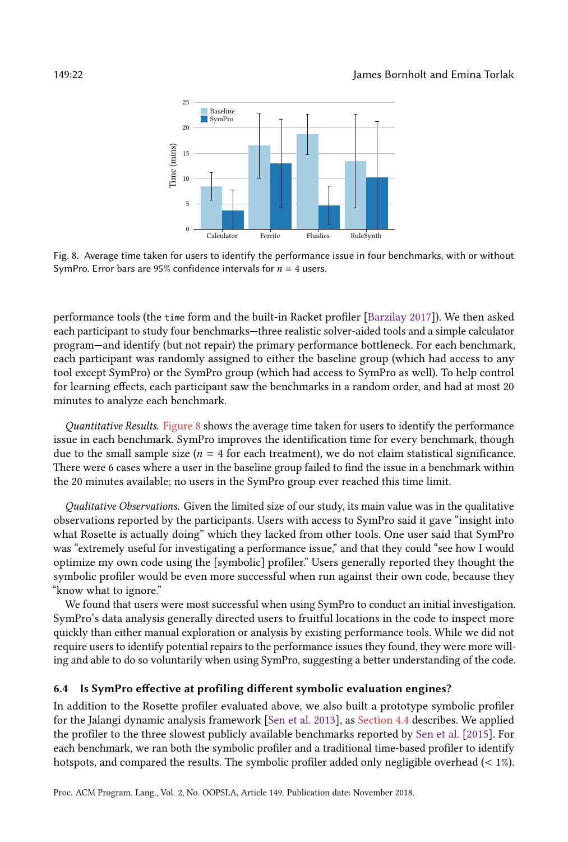#### <span id="page-21-1"></span>149:22 James Bornholt and Emina Torlak



Fig. 8. Average time taken for users to identify the performance issue in four benchmarks, with or without SymPro. Error bars are 95% confidence intervals for  $n = 4$  users.

performance tools (the time form and the built-in Racket profiler [\[Barzilay 2017\]](#page-24-3)). We then asked each participant to study four benchmarks—three realistic solver-aided tools and a simple calculator program—and identify (but not repair) the primary performance bottleneck. For each benchmark, each participant was randomly assigned to either the baseline group (which had access to any tool except SymPro) or the SymPro group (which had access to SymPro as well). To help control for learning effects, each participant saw the benchmarks in a random order, and had at most 20 minutes to analyze each benchmark.

Quantitative Results. [Figure 8](#page-21-1) shows the average time taken for users to identify the performance issue in each benchmark. SymPro improves the identification time for every benchmark, though due to the small sample size  $(n = 4$  for each treatment), we do not claim statistical significance. There were 6 cases where a user in the baseline group failed to find the issue in a benchmark within the 20 minutes available; no users in the SymPro group ever reached this time limit.

Qualitative Observations. Given the limited size of our study, its main value was in the qualitative observations reported by the participants. Users with access to SymPro said it gave "insight into what Rosette is actually doingž which they lacked from other tools. One user said that SymPro was "extremely useful for investigating a performance issue," and that they could "see how I would optimize my own code using the [symbolic] profiler.ž Users generally reported they thought the symbolic profiler would be even more successful when run against their own code, because they "know what to ignore."

We found that users were most successful when using SymPro to conduct an initial investigation. SymPro's data analysis generally directed users to fruitful locations in the code to inspect more quickly than either manual exploration or analysis by existing performance tools. While we did not require users to identify potential repairs to the performance issues they found, they were more willing and able to do so voluntarily when using SymPro, suggesting a better understanding of the code.

#### <span id="page-21-0"></span>6.4 Is SymPro effective at profiling different symbolic evaluation engines?

In addition to the Rosette profiler evaluated above, we also built a prototype symbolic profiler for the Jalangi dynamic analysis framework [\[Sen et al. 2013\]](#page-25-3), as [Section 4.4](#page-13-0) describes. We applied the profiler to the three slowest publicly available benchmarks reported by [Sen et al.](#page-25-9) [\[2015\]](#page-25-9). For each benchmark, we ran both the symbolic profiler and a traditional time-based profiler to identify hotspots, and compared the results. The symbolic profiler added only negligible overhead (< 1%).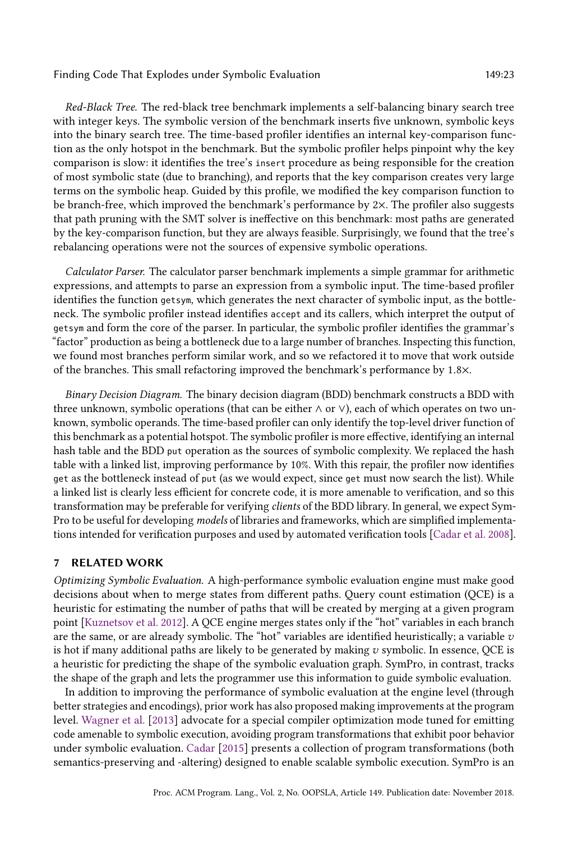Red-Black Tree. The red-black tree benchmark implements a self-balancing binary search tree with integer keys. The symbolic version of the benchmark inserts five unknown, symbolic keys into the binary search tree. The time-based profiler identifies an internal key-comparison function as the only hotspot in the benchmark. But the symbolic profiler helps pinpoint why the key comparison is slow: it identifies the tree's insert procedure as being responsible for the creation of most symbolic state (due to branching), and reports that the key comparison creates very large terms on the symbolic heap. Guided by this profile, we modified the key comparison function to be branch-free, which improved the benchmark's performance by  $2\times$ . The profiler also suggests that path pruning with the SMT solver is ineffective on this benchmark: most paths are generated by the key-comparison function, but they are always feasible. Surprisingly, we found that the tree's rebalancing operations were not the sources of expensive symbolic operations.

Calculator Parser. The calculator parser benchmark implements a simple grammar for arithmetic expressions, and attempts to parse an expression from a symbolic input. The time-based profiler identifies the function getsym, which generates the next character of symbolic input, as the bottleneck. The symbolic profiler instead identifies accept and its callers, which interpret the output of getsym and form the core of the parser. In particular, the symbolic profiler identifies the grammar's łfactorž production as being a bottleneck due to a large number of branches. Inspecting this function, we found most branches perform similar work, and so we refactored it to move that work outside of the branches. This small refactoring improved the benchmark's performance by 1.8×.

Binary Decision Diagram. The binary decision diagram (BDD) benchmark constructs a BDD with three unknown, symbolic operations (that can be either ∧ or ∨), each of which operates on two unknown, symbolic operands. The time-based profiler can only identify the top-level driver function of this benchmark as a potential hotspot. The symbolic profiler is more effective, identifying an internal hash table and the BDD put operation as the sources of symbolic complexity. We replaced the hash table with a linked list, improving performance by 10%. With this repair, the profiler now identifies get as the bottleneck instead of put (as we would expect, since get must now search the list). While a linked list is clearly less efficient for concrete code, it is more amenable to verification, and so this transformation may be preferable for verifying clients of the BDD library. In general, we expect Sym-Pro to be useful for developing models of libraries and frameworks, which are simplified implementations intended for verification purposes and used by automated verification tools [\[Cadar et al.](#page-24-4) [2008\]](#page-24-4).

#### <span id="page-22-0"></span>7 RELATED WORK

Optimizing Symbolic Evaluation. A high-performance symbolic evaluation engine must make good decisions about when to merge states from different paths. Query count estimation (QCE) is a heuristic for estimating the number of paths that will be created by merging at a given program point [\[Kuznetsov et al.](#page-25-11) [2012\]](#page-25-11). A QCE engine merges states only if the "hot" variables in each branch are the same, or are already symbolic. The "hot" variables are identified heuristically; a variable  $v$ is hot if many additional paths are likely to be generated by making  $v$  symbolic. In essence, QCE is a heuristic for predicting the shape of the symbolic evaluation graph. SymPro, in contrast, tracks the shape of the graph and lets the programmer use this information to guide symbolic evaluation.

In addition to improving the performance of symbolic evaluation at the engine level (through better strategies and encodings), prior work has also proposed making improvements at the program level. [Wagner et al.](#page-25-16) [\[2013\]](#page-25-16) advocate for a special compiler optimization mode tuned for emitting code amenable to symbolic execution, avoiding program transformations that exhibit poor behavior under symbolic evaluation. [Cadar](#page-24-24) [\[2015\]](#page-24-24) presents a collection of program transformations (both semantics-preserving and -altering) designed to enable scalable symbolic execution. SymPro is an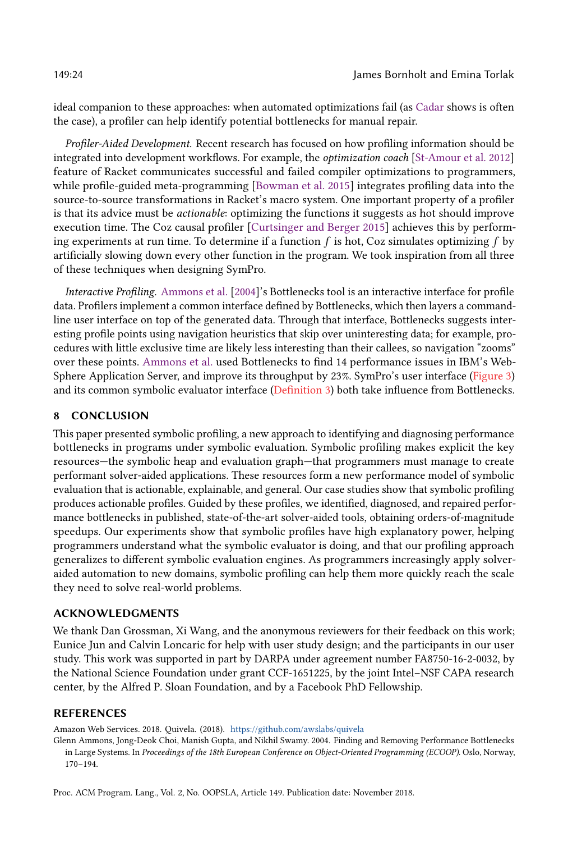ideal companion to these approaches: when automated optimizations fail (as [Cadar](#page-24-24) shows is often the case), a profiler can help identify potential bottlenecks for manual repair.

Profiler-Aided Development. Recent research has focused on how profiling information should be integrated into development workflows. For example, the optimization coach [\[St-Amour et al.](#page-25-17) [2012\]](#page-25-17) feature of Racket communicates successful and failed compiler optimizations to programmers, while profile-guided meta-programming [\[Bowman et al.](#page-24-23) [2015\]](#page-24-23) integrates profiling data into the source-to-source transformations in Racket's macro system. One important property of a profiler is that its advice must be actionable: optimizing the functions it suggests as hot should improve execution time. The Coz causal profiler [\[Curtsinger and Berger 2015\]](#page-24-25) achieves this by performing experiments at run time. To determine if a function  $f$  is hot, Coz simulates optimizing  $f$  by artificially slowing down every other function in the program. We took inspiration from all three of these techniques when designing SymPro.

Interactive Profiling. [Ammons et al.](#page-23-2) [\[2004\]](#page-23-2)'s Bottlenecks tool is an interactive interface for profile data. Profilers implement a common interface defined by Bottlenecks, which then layers a commandline user interface on top of the generated data. Through that interface, Bottlenecks suggests interesting profile points using navigation heuristics that skip over uninteresting data; for example, procedures with little exclusive time are likely less interesting than their callees, so navigation "zooms" over these points. [Ammons et al.](#page-23-2) used Bottlenecks to find 14 performance issues in IBM's Web-Sphere Application Server, and improve its throughput by 23%. SymPro's user interface [\(Figure 3\)](#page-4-12) and its common symbolic evaluator interface [\(Definition 3\)](#page-12-0) both take influence from Bottlenecks.

# <span id="page-23-0"></span>8 CONCLUSION

This paper presented symbolic profiling, a new approach to identifying and diagnosing performance bottlenecks in programs under symbolic evaluation. Symbolic profiling makes explicit the key resources—the symbolic heap and evaluation graph—that programmers must manage to create performant solver-aided applications. These resources form a new performance model of symbolic evaluation that is actionable, explainable, and general. Our case studies show that symbolic profiling produces actionable profiles. Guided by these profiles, we identified, diagnosed, and repaired performance bottlenecks in published, state-of-the-art solver-aided tools, obtaining orders-of-magnitude speedups. Our experiments show that symbolic profiles have high explanatory power, helping programmers understand what the symbolic evaluator is doing, and that our profiling approach generalizes to different symbolic evaluation engines. As programmers increasingly apply solveraided automation to new domains, symbolic profiling can help them more quickly reach the scale they need to solve real-world problems.

#### ACKNOWLEDGMENTS

We thank Dan Grossman, Xi Wang, and the anonymous reviewers for their feedback on this work; Eunice Jun and Calvin Loncaric for help with user study design; and the participants in our user study. This work was supported in part by DARPA under agreement number FA8750-16-2-0032, by the National Science Foundation under grant CCF-1651225, by the joint Intel–NSF CAPA research center, by the Alfred P. Sloan Foundation, and by a Facebook PhD Fellowship.

#### REFERENCES

<span id="page-23-1"></span>Amazon Web Services. 2018. Quivela. (2018). <https://github.com/awslabs/quivela>

<span id="page-23-2"></span>Glenn Ammons, Jong-Deok Choi, Manish Gupta, and Nikhil Swamy. 2004. Finding and Removing Performance Bottlenecks in Large Systems. In Proceedings of the 18th European Conference on Object-Oriented Programming (ECOOP). Oslo, Norway,  $170 - 194.$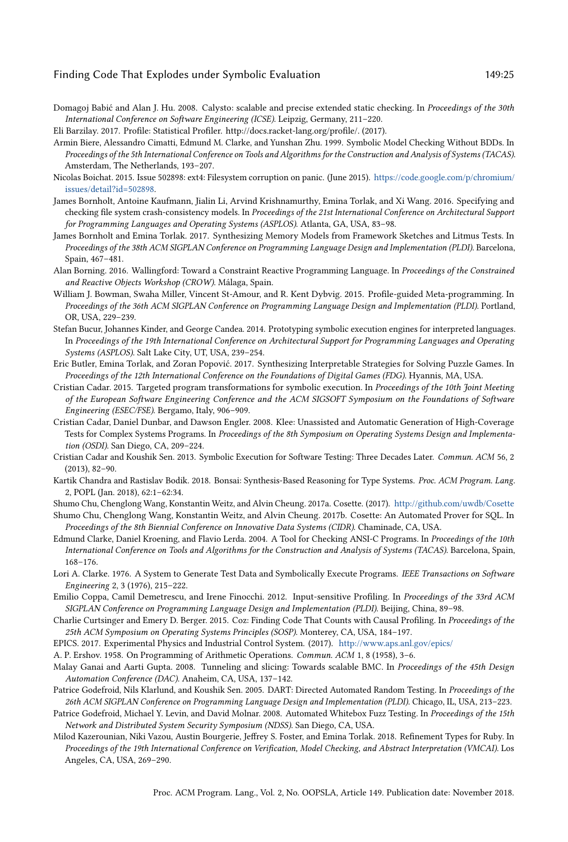- <span id="page-24-7"></span>Domagoj Babić and Alan J. Hu. 2008. Calysto: scalable and precise extended static checking. In Proceedings of the 30th International Conference on Software Engineering (ICSE). Leipzig, Germany, 211-220.
- <span id="page-24-3"></span>Eli Barzilay. 2017. Profile: Statistical Profiler. http://docs.racket-lang.org/profile/. (2017).
- <span id="page-24-2"></span>Armin Biere, Alessandro Cimatti, Edmund M. Clarke, and Yunshan Zhu. 1999. Symbolic Model Checking Without BDDs. In Proceedings of the 5th International Conference on Tools and Algorithms for the Construction and Analysis of Systems (TACAS). Amsterdam, The Netherlands, 193-207.
- <span id="page-24-20"></span>Nicolas Boichat. 2015. Issue 502898: ext4: Filesystem corruption on panic. (June 2015). [https://code.google.com/p/chromium/](https://code.google.com/p/chromium/issues/detail?id=502898) [issues/detail?id=502898.](https://code.google.com/p/chromium/issues/detail?id=502898)
- <span id="page-24-14"></span>James Bornholt, Antoine Kaufmann, Jialin Li, Arvind Krishnamurthy, Emina Torlak, and Xi Wang. 2016. Specifying and checking file system crash-consistency models. In Proceedings of the 21st International Conference on Architectural Support for Programming Languages and Operating Systems (ASPLOS). Atlanta, GA, USA, 83-98.
- <span id="page-24-16"></span>James Bornholt and Emina Torlak. 2017. Synthesizing Memory Models from Framework Sketches and Litmus Tests. In Proceedings of the 38th ACM SIGPLAN Conference on Programming Language Design and Implementation (PLDI). Barcelona, Spain, 467-481.
- <span id="page-24-19"></span>Alan Borning. 2016. Wallingford: Toward a Constraint Reactive Programming Language. In Proceedings of the Constrained and Reactive Objects Workshop (CROW). Málaga, Spain.
- <span id="page-24-23"></span>William J. Bowman, Swaha Miller, Vincent St-Amour, and R. Kent Dybvig. 2015. Profile-guided Meta-programming. In Proceedings of the 36th ACM SIGPLAN Conference on Programming Language Design and Implementation (PLDI). Portland, OR, USA, 229-239.
- <span id="page-24-0"></span>Stefan Bucur, Johannes Kinder, and George Candea. 2014. Prototyping symbolic execution engines for interpreted languages. In Proceedings of the 19th International Conference on Architectural Support for Programming Languages and Operating Systems (ASPLOS). Salt Lake City, UT, USA, 239-254.
- <span id="page-24-17"></span>Eric Butler, Emina Torlak, and Zoran Popović. 2017. Synthesizing Interpretable Strategies for Solving Puzzle Games. In Proceedings of the 12th International Conference on the Foundations of Digital Games (FDG). Hyannis, MA, USA.
- <span id="page-24-24"></span>Cristian Cadar. 2015. Targeted program transformations for symbolic execution. In Proceedings of the 10th Joint Meeting of the European Software Engineering Conference and the ACM SIGSOFT Symposium on the Foundations of Software Engineering (ESEC/FSE). Bergamo, Italy, 906-909.
- <span id="page-24-4"></span>Cristian Cadar, Daniel Dunbar, and Dawson Engler. 2008. Klee: Unassisted and Automatic Generation of High-Coverage Tests for Complex Systems Programs. In Proceedings of the 8th Symposium on Operating Systems Design and Implementa $tion (OSDI)$ . San Diego, CA, 209-224.
- <span id="page-24-10"></span>Cristian Cadar and Koushik Sen. 2013. Symbolic Execution for Software Testing: Three Decades Later. Commun. ACM 56, 2  $(2013), 82-90.$
- <span id="page-24-11"></span>Kartik Chandra and Rastislav Bodik. 2018. Bonsai: Synthesis-Based Reasoning for Type Systems. Proc. ACM Program. Lang. 2, POPL (Jan. 2018), 62:1-62:34.
- <span id="page-24-21"></span>Shumo Chu, Chenglong Wang, Konstantin Weitz, and Alvin Cheung. 2017a. Cosette. (2017). <http://github.com/uwdb/Cosette>
- <span id="page-24-15"></span>Shumo Chu, Chenglong Wang, Konstantin Weitz, and Alvin Cheung. 2017b. Cosette: An Automated Prover for SQL. In Proceedings of the 8th Biennial Conference on Innovative Data Systems (CIDR). Chaminade, CA, USA.
- <span id="page-24-8"></span>Edmund Clarke, Daniel Kroening, and Flavio Lerda. 2004. A Tool for Checking ANSI-C Programs. In Proceedings of the 10th International Conference on Tools and Algorithms for the Construction and Analysis of Systems (TACAS). Barcelona, Spain,  $168 - 176.$
- <span id="page-24-1"></span>Lori A. Clarke. 1976. A System to Generate Test Data and Symbolically Execute Programs. IEEE Transactions on Software Engineering 2, 3 (1976), 215-222.
- <span id="page-24-12"></span>Emilio Coppa, Camil Demetrescu, and Irene Finocchi. 2012. Input-sensitive Profiling. In Proceedings of the 33rd ACM SIGPLAN Conference on Programming Language Design and Implementation (PLDI). Beijing, China, 89-98.
- <span id="page-24-25"></span>Charlie Curtsinger and Emery D. Berger. 2015. Coz: Finding Code That Counts with Causal Profiling. In Proceedings of the 25th ACM Symposium on Operating Systems Principles (SOSP). Monterey, CA, USA, 184-197.
- <span id="page-24-22"></span>EPICS. 2017. Experimental Physics and Industrial Control System. (2017). <http://www.aps.anl.gov/epics/>
- <span id="page-24-13"></span>A. P. Ershov. 1958. On Programming of Arithmetic Operations. Commun. ACM 1, 8 (1958), 3-6.
- <span id="page-24-9"></span>Malay Ganai and Aarti Gupta. 2008. Tunneling and slicing: Towards scalable BMC. In Proceedings of the 45th Design Automation Conference (DAC). Anaheim, CA, USA, 137-142.
- <span id="page-24-5"></span>Patrice Godefroid, Nils Klarlund, and Koushik Sen. 2005. DART: Directed Automated Random Testing. In Proceedings of the 26th ACM SIGPLAN Conference on Programming Language Design and Implementation (PLDI). Chicago, IL, USA, 213-223.
- <span id="page-24-6"></span>Patrice Godefroid, Michael Y. Levin, and David Molnar. 2008. Automated Whitebox Fuzz Testing. In Proceedings of the 15th Network and Distributed System Security Symposium (NDSS). San Diego, CA, USA.
- <span id="page-24-18"></span>Milod Kazerounian, Niki Vazou, Austin Bourgerie, Jeffrey S. Foster, and Emina Torlak. 2018. Refinement Types for Ruby. In Proceedings of the 19th International Conference on Verification, Model Checking, and Abstract Interpretation (VMCAI). Los Angeles, CA, USA, 269-290.